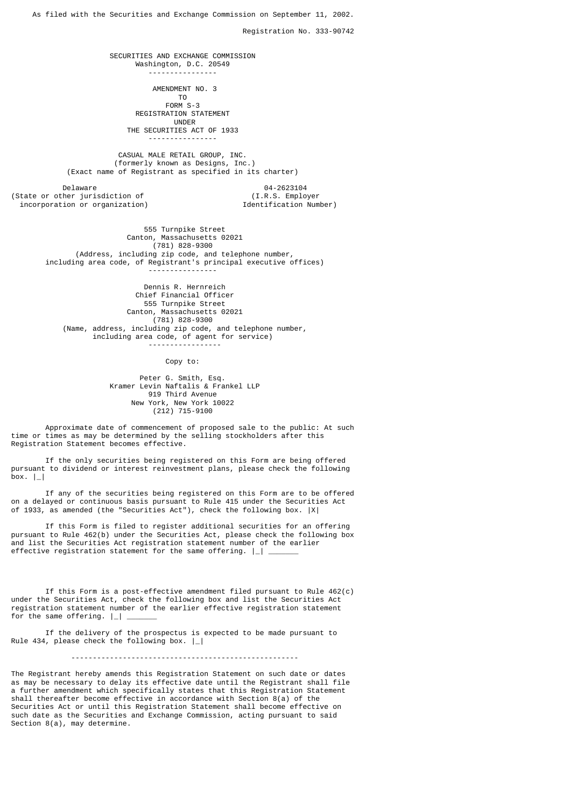As filed with the Securities and Exchange Commission on September 11, 2002.

Registration No. 333-90742

 SECURITIES AND EXCHANGE COMMISSION Washington, D.C. 20549

----------------

AMENDMENT NO. 3

The contract of the contract of the contract of the contract of the contract of the contract of the contract o FORM S-3 REGISTRATION STATEMENT<br>UNDER UNDER THE SECURITIES ACT OF 1933

----------------

 CASUAL MALE RETAIL GROUP, INC. (formerly known as Designs, Inc.) (Exact name of Registrant as specified in its charter)

Delaware 04-2623104<br>her jurisdiction of the control of t.R.S. Employer (State or other jurisdiction of  $(1.R.S.$  Employer incorporation or organization)  $\qquad \qquad$  Identification Number) incorporation or organization)

 555 Turnpike Street Canton, Massachusetts 02021 (781) 828-9300 (Address, including zip code, and telephone number, including area code, of Registrant's principal executive offices) ----------------

 Dennis R. Hernreich Chief Financial Officer 555 Turnpike Street Canton, Massachusetts 02021 (781) 828-9300 (Name, address, including zip code, and telephone number, including area code, of agent for service) -----------------

Copy to:

 Peter G. Smith, Esq. Kramer Levin Naftalis & Frankel LLP 919 Third Avenue New York, New York 10022 (212) 715-9100

 Approximate date of commencement of proposed sale to the public: At such time or times as may be determined by the selling stockholders after this Registration Statement becomes effective.

 If the only securities being registered on this Form are being offered pursuant to dividend or interest reinvestment plans, please check the following  $box.$   $|$ 

 If any of the securities being registered on this Form are to be offered on a delayed or continuous basis pursuant to Rule 415 under the Securities Act of 1933, as amended (the "Securities Act"), check the following box. |X|

 If this Form is filed to register additional securities for an offering pursuant to Rule 462(b) under the Securities Act, please check the following box and list the Securities Act registration statement number of the earlier effective registration statement for the same offering.  $|$ 

 If this Form is a post-effective amendment filed pursuant to Rule 462(c) under the Securities Act, check the following box and list the Securities Act registration statement number of the earlier effective registration statement for the same offering.  $| \cdot |$ 

 If the delivery of the prospectus is expected to be made pursuant to Rule 434, please check the following box.  $\vert \_ \vert$ 

-----------------------------------------------------

The Registrant hereby amends this Registration Statement on such date or dates as may be necessary to delay its effective date until the Registrant shall file a further amendment which specifically states that this Registration Statement shall thereafter become effective in accordance with Section 8(a) of the Securities Act or until this Registration Statement shall become effective on such date as the Securities and Exchange Commission, acting pursuant to said Section 8(a), may determine.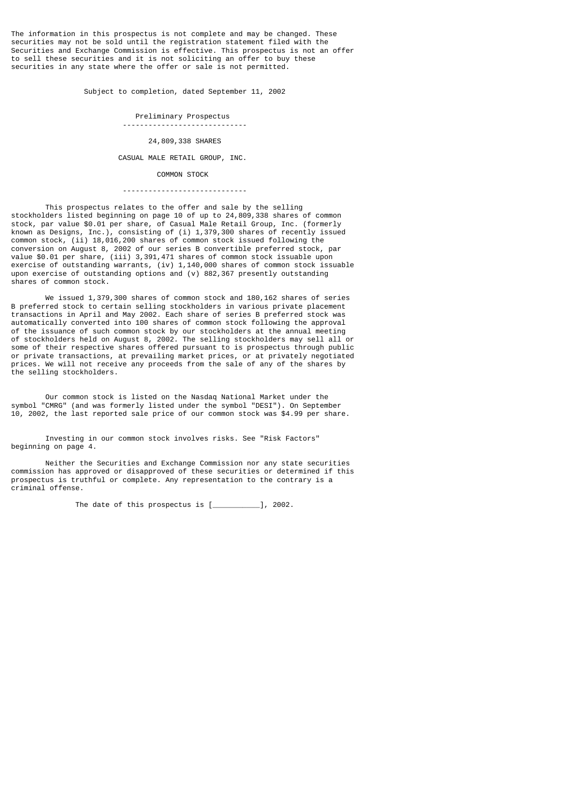The information in this prospectus is not complete and may be changed. These securities may not be sold until the registration statement filed with the Securities and Exchange Commission is effective. This prospectus is not an offer to sell these securities and it is not soliciting an offer to buy these securities in any state where the offer or sale is not permitted.

Subject to completion, dated September 11, 2002

 Preliminary Prospectus -----------------------------

24,809,338 SHARES

CASUAL MALE RETAIL GROUP, INC.

COMMON STOCK

-----------------------------

 This prospectus relates to the offer and sale by the selling stockholders listed beginning on page 10 of up to 24,809,338 shares of common stock, par value \$0.01 per share, of Casual Male Retail Group, Inc. (formerly known as Designs, Inc.), consisting of (i) 1,379,300 shares of recently issued common stock, (ii) 18,016,200 shares of common stock issued following the conversion on August 8, 2002 of our series B convertible preferred stock, par value \$0.01 per share, (iii) 3,391,471 shares of common stock issuable upon exercise of outstanding warrants, (iv) 1,140,000 shares of common stock issuable upon exercise of outstanding options and (v) 882,367 presently outstanding shares of common stock.

We issued 1,379,300 shares of common stock and 180,162 shares of series B preferred stock to certain selling stockholders in various private placement transactions in April and May 2002. Each share of series B preferred stock was automatically converted into 100 shares of common stock following the approval of the issuance of such common stock by our stockholders at the annual meeting of stockholders held on August 8, 2002. The selling stockholders may sell all or some of their respective shares offered pursuant to is prospectus through public or private transactions, at prevailing market prices, or at privately negotiated prices. We will not receive any proceeds from the sale of any of the shares by the selling stockholders.

 Our common stock is listed on the Nasdaq National Market under the symbol "CMRG" (and was formerly listed under the symbol "DESI"). On September 10, 2002, the last reported sale price of our common stock was \$4.99 per share.

 Investing in our common stock involves risks. See "Risk Factors" beginning on page 4.

 Neither the Securities and Exchange Commission nor any state securities commission has approved or disapproved of these securities or determined if this prospectus is truthful or complete. Any representation to the contrary is a criminal offense.

The date of this prospectus is [\_\_\_\_\_\_\_\_\_\_\_], 2002.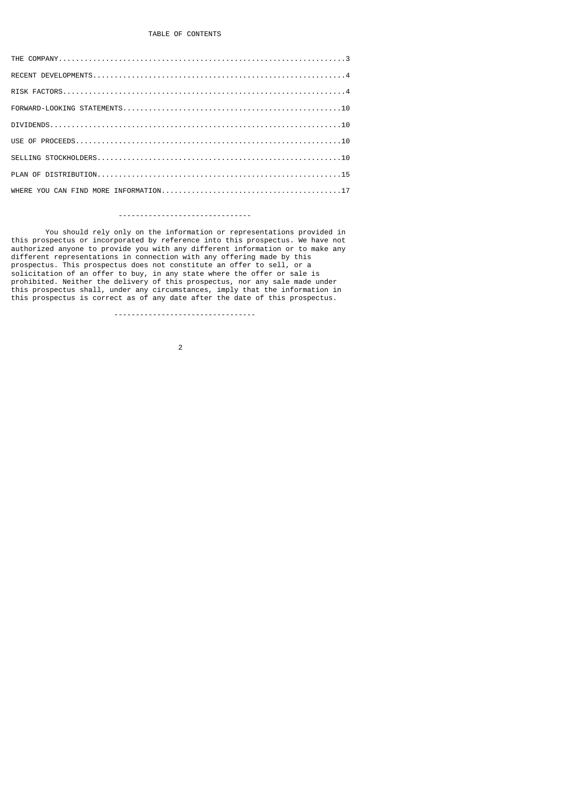# -------------------------------

You should rely only on the information or representations provided in<br>this prospectus or incorporated by reference into this prospectus. We have not this prospectus or incorporated by reference into this prospectus. We have not authorized anyone to provide you with any different information or to make any different representations in connection with any offering made by this prospectus. This prospectus does not constitute an offer to sell, or a solicitation of an offer to buy, in any state where the offer or sale is prohibited. Neither the delivery of this prospectus, nor any sale made under this prospectus shall, under any circumstances, imply that the information in this prospectus is correct as of any date after the date of this prospectus.

---------------------------------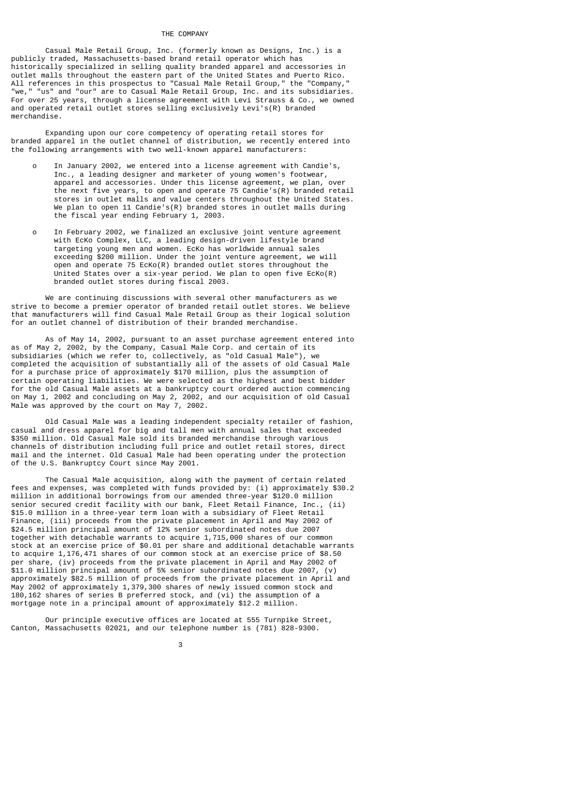#### THE COMPANY

 Casual Male Retail Group, Inc. (formerly known as Designs, Inc.) is a publicly traded, Massachusetts-based brand retail operator which has historically specialized in selling quality branded apparel and accessories in outlet malls throughout the eastern part of the United States and Puerto Rico. All references in this prospectus to "Casual Male Retail Group," the "Company," "we," "us" and "our" are to Casual Male Retail Group, Inc. and its subsidiaries. For over 25 years, through a license agreement with Levi Strauss & Co., we owned and operated retail outlet stores selling exclusively Levi's(R) branded merchandise.

 Expanding upon our core competency of operating retail stores for branded apparel in the outlet channel of distribution, we recently entered into the following arrangements with two well-known apparel manufacturers:

- o In January 2002, we entered into a license agreement with Candie's, Inc., a leading designer and marketer of young women's footwear, apparel and accessories. Under this license agreement, we plan, over the next five years, to open and operate 75 Candie's(R) branded retail stores in outlet malls and value centers throughout the United States. We plan to open 11 Candie's(R) branded stores in outlet malls during the fiscal year ending February 1, 2003.
- o In February 2002, we finalized an exclusive joint venture agreement with EcKo Complex, LLC, a leading design-driven lifestyle brand targeting young men and women. EcKo has worldwide annual sales exceeding \$200 million. Under the joint venture agreement, we will open and operate 75 EcKo(R) branded outlet stores throughout the United States over a six-year period. We plan to open five EcKo(R) branded outlet stores during fiscal 2003.

 We are continuing discussions with several other manufacturers as we strive to become a premier operator of branded retail outlet stores. We believe that manufacturers will find Casual Male Retail Group as their logical solution for an outlet channel of distribution of their branded merchandise.

 As of May 14, 2002, pursuant to an asset purchase agreement entered into as of May 2, 2002, by the Company, Casual Male Corp. and certain of its subsidiaries (which we refer to, collectively, as "old Casual Male"), we completed the acquisition of substantially all of the assets of old Casual Male for a purchase price of approximately \$170 million, plus the assumption of certain operating liabilities. We were selected as the highest and best bidder for the old Casual Male assets at a bankruptcy court ordered auction commencing on May 1, 2002 and concluding on May 2, 2002, and our acquisition of old Casual Male was approved by the court on May 7, 2002.

 Old Casual Male was a leading independent specialty retailer of fashion, casual and dress apparel for big and tall men with annual sales that exceeded \$350 million. Old Casual Male sold its branded merchandise through various channels of distribution including full price and outlet retail stores, direct mail and the internet. Old Casual Male had been operating under the protection of the U.S. Bankruptcy Court since May 2001.

 The Casual Male acquisition, along with the payment of certain related fees and expenses, was completed with funds provided by: (i) approximately \$30.2 million in additional borrowings from our amended three-year \$120.0 million senior secured credit facility with our bank, Fleet Retail Finance, Inc., (ii) \$15.0 million in a three-year term loan with a subsidiary of Fleet Retail Finance, (iii) proceeds from the private placement in April and May 2002 of \$24.5 million principal amount of 12% senior subordinated notes due 2007 together with detachable warrants to acquire 1,715,000 shares of our common stock at an exercise price of \$0.01 per share and additional detachable warrants to acquire 1,176,471 shares of our common stock at an exercise price of \$8.50 per share, (iv) proceeds from the private placement in April and May 2002 of \$11.0 million principal amount of 5% senior subordinated notes due 2007, (v) approximately \$82.5 million of proceeds from the private placement in April and May 2002 of approximately 1,379,300 shares of newly issued common stock and 180,162 shares of series B preferred stock, and (vi) the assumption of a mortgage note in a principal amount of approximately \$12.2 million.

 Our principle executive offices are located at 555 Turnpike Street, Canton, Massachusetts 02021, and our telephone number is (781) 828-9300.

 $\sim$  3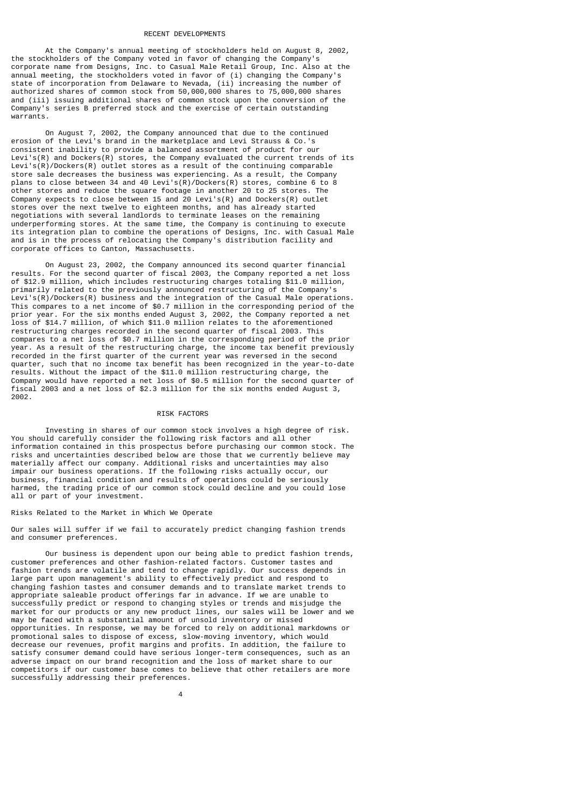### RECENT DEVELOPMENTS

 At the Company's annual meeting of stockholders held on August 8, 2002, the stockholders of the Company voted in favor of changing the Company's corporate name from Designs, Inc. to Casual Male Retail Group, Inc. Also at the annual meeting, the stockholders voted in favor of (i) changing the Company's state of incorporation from Delaware to Nevada, (ii) increasing the number of authorized shares of common stock from 50,000,000 shares to 75,000,000 shares and (iii) issuing additional shares of common stock upon the conversion of the Company's series B preferred stock and the exercise of certain outstanding warrants.

 On August 7, 2002, the Company announced that due to the continued erosion of the Levi's brand in the marketplace and Levi Strauss & Co.'s consistent inability to provide a balanced assortment of product for our Levi's(R) and Dockers(R) stores, the Company evaluated the current trends of its Levi's(R)/Dockers(R) outlet stores as a result of the continuing comparable store sale decreases the business was experiencing. As a result, the Company plans to close between 34 and 40 Levi's(R)/Dockers(R) stores, combine 6 to 8 other stores and reduce the square footage in another 20 to 25 stores. The Company expects to close between 15 and 20 Levi's(R) and Dockers(R) outlet stores over the next twelve to eighteen months, and has already started negotiations with several landlords to terminate leases on the remaining underperforming stores. At the same time, the Company is continuing to execute its integration plan to combine the operations of Designs, Inc. with Casual Male and is in the process of relocating the Company's distribution facility and corporate offices to Canton, Massachusetts.

 On August 23, 2002, the Company announced its second quarter financial results. For the second quarter of fiscal 2003, the Company reported a net loss of \$12.9 million, which includes restructuring charges totaling \$11.0 million, primarily related to the previously announced restructuring of the Company's Levi's(R)/Dockers(R) business and the integration of the Casual Male operations. This compares to a net income of \$0.7 million in the corresponding period of the prior year. For the six months ended August 3, 2002, the Company reported a net loss of \$14.7 million, of which \$11.0 million relates to the aforementioned restructuring charges recorded in the second quarter of fiscal 2003. This compares to a net loss of \$0.7 million in the corresponding period of the prior year. As a result of the restructuring charge, the income tax benefit previously recorded in the first quarter of the current year was reversed in the second quarter, such that no income tax benefit has been recognized in the year-to-date results. Without the impact of the \$11.0 million restructuring charge, the Company would have reported a net loss of \$0.5 million for the second quarter of fiscal 2003 and a net loss of \$2.3 million for the six months ended August 3, 2002.

### RISK FACTORS

 Investing in shares of our common stock involves a high degree of risk. You should carefully consider the following risk factors and all other information contained in this prospectus before purchasing our common stock. The risks and uncertainties described below are those that we currently believe may materially affect our company. Additional risks and uncertainties may also impair our business operations. If the following risks actually occur, our business, financial condition and results of operations could be seriously harmed, the trading price of our common stock could decline and you could lose all or part of your investment.

## Risks Related to the Market in Which We Operate

Our sales will suffer if we fail to accurately predict changing fashion trends and consumer preferences.

 Our business is dependent upon our being able to predict fashion trends, customer preferences and other fashion-related factors. Customer tastes and fashion trends are volatile and tend to change rapidly. Our success depends in large part upon management's ability to effectively predict and respond to changing fashion tastes and consumer demands and to translate market trends to appropriate saleable product offerings far in advance. If we are unable to successfully predict or respond to changing styles or trends and misjudge the market for our products or any new product lines, our sales will be lower and we may be faced with a substantial amount of unsold inventory or missed opportunities. In response, we may be forced to rely on additional markdowns or promotional sales to dispose of excess, slow-moving inventory, which would decrease our revenues, profit margins and profits. In addition, the failure to satisfy consumer demand could have serious longer-term consequences, such as an adverse impact on our brand recognition and the loss of market share to our competitors if our customer base comes to believe that other retailers are more successfully addressing their preferences.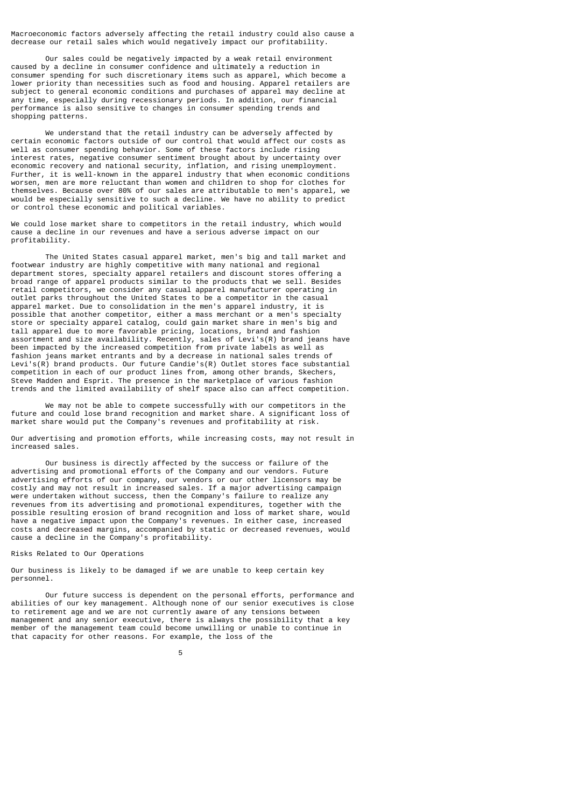Macroeconomic factors adversely affecting the retail industry could also cause a decrease our retail sales which would negatively impact our profitability.

 Our sales could be negatively impacted by a weak retail environment caused by a decline in consumer confidence and ultimately a reduction in consumer spending for such discretionary items such as apparel, which become a lower priority than necessities such as food and housing. Apparel retailers are subject to general economic conditions and purchases of apparel may decline at any time, especially during recessionary periods. In addition, our financial performance is also sensitive to changes in consumer spending trends and shopping patterns.

We understand that the retail industry can be adversely affected by certain economic factors outside of our control that would affect our costs as well as consumer spending behavior. Some of these factors include rising interest rates, negative consumer sentiment brought about by uncertainty over economic recovery and national security, inflation, and rising unemployment. Further, it is well-known in the apparel industry that when economic conditions men are more reluctant than women and children to shop for clothes for themselves. Because over 80% of our sales are attributable to men's apparel, we would be especially sensitive to such a decline. We have no ability to predict or control these economic and political variables.

We could lose market share to competitors in the retail industry, which would cause a decline in our revenues and have a serious adverse impact on our profitability.

 The United States casual apparel market, men's big and tall market and footwear industry are highly competitive with many national and regional department stores, specialty apparel retailers and discount stores offering a broad range of apparel products similar to the products that we sell. Besides retail competitors, we consider any casual apparel manufacturer operating in outlet parks throughout the United States to be a competitor in the casual apparel market. Due to consolidation in the men's apparel industry, it is possible that another competitor, either a mass merchant or a men's specialty store or specialty apparel catalog, could gain market share in men's big and tall apparel due to more favorable pricing, locations, brand and fashion assortment and size availability. Recently, sales of Levi's(R) brand jeans have been impacted by the increased competition from private labels as well as fashion jeans market entrants and by a decrease in national sales trends of Levi's(R) brand products. Our future Candie's(R) Outlet stores face substantial competition in each of our product lines from, among other brands, Skechers, Steve Madden and Esprit. The presence in the marketplace of various fashion trends and the limited availability of shelf space also can affect competition.

 We may not be able to compete successfully with our competitors in the future and could lose brand recognition and market share. A significant loss of market share would put the Company's revenues and profitability at risk.

Our advertising and promotion efforts, while increasing costs, may not result in increased sales.

 Our business is directly affected by the success or failure of the advertising and promotional efforts of the Company and our vendors. Future advertising efforts of our company, our vendors or our other licensors may be costly and may not result in increased sales. If a major advertising campaign were undertaken without success, then the Company's failure to realize any revenues from its advertising and promotional expenditures, together with the possible resulting erosion of brand recognition and loss of market share, would have a negative impact upon the Company's revenues. In either case, increased costs and decreased margins, accompanied by static or decreased revenues, would cause a decline in the Company's profitability.

Risks Related to Our Operations

Our business is likely to be damaged if we are unable to keep certain key personnel.

 Our future success is dependent on the personal efforts, performance and abilities of our key management. Although none of our senior executives is close to retirement age and we are not currently aware of any tensions between management and any senior executive, there is always the possibility that a key member of the management team could become unwilling or unable to continue in that capacity for other reasons. For example, the loss of the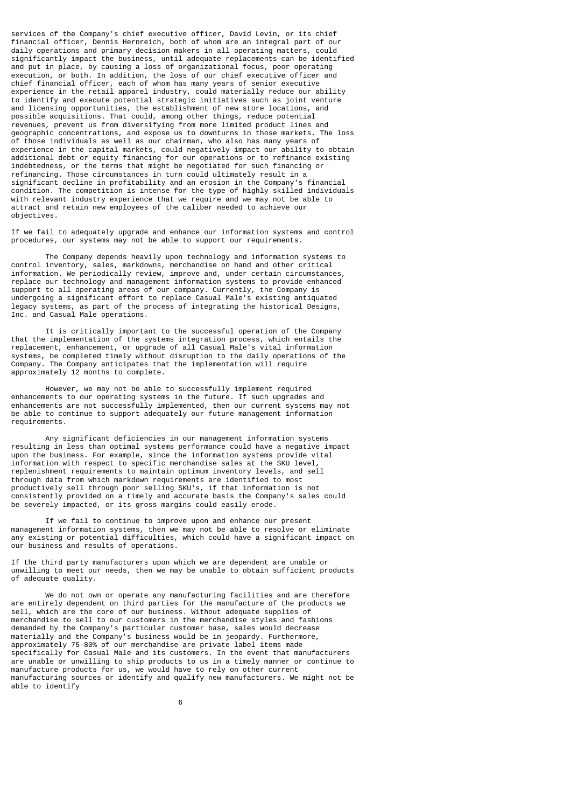services of the Company's chief executive officer, David Levin, or its chief financial officer, Dennis Hernreich, both of whom are an integral part of our daily operations and primary decision makers in all operating matters, could significantly impact the business, until adequate replacements can be identified and put in place, by causing a loss of organizational focus, poor operating execution, or both. In addition, the loss of our chief executive officer and chief financial officer, each of whom has many years of senior executive experience in the retail apparel industry, could materially reduce our ability to identify and execute potential strategic initiatives such as joint venture and licensing opportunities, the establishment of new store locations, and possible acquisitions. That could, among other things, reduce potential revenues, prevent us from diversifying from more limited product lines and geographic concentrations, and expose us to downturns in those markets. The loss of those individuals as well as our chairman, who also has many years of experience in the capital markets, could negatively impact our ability to obtain additional debt or equity financing for our operations or to refinance existing indebtedness, or the terms that might be negotiated for such financing or refinancing. Those circumstances in turn could ultimately result in a significant decline in profitability and an erosion in the Company's financial condition. The competition is intense for the type of highly skilled individuals with relevant industry experience that we require and we may not be able to attract and retain new employees of the caliber needed to achieve our objectives.

If we fail to adequately upgrade and enhance our information systems and control procedures, our systems may not be able to support our requirements.

 The Company depends heavily upon technology and information systems to control inventory, sales, markdowns, merchandise on hand and other critical information. We periodically review, improve and, under certain circumstances, replace our technology and management information systems to provide enhanced support to all operating areas of our company. Currently, the Company is undergoing a significant effort to replace Casual Male's existing antiquated legacy systems, as part of the process of integrating the historical Designs, Inc. and Casual Male operations.

 It is critically important to the successful operation of the Company that the implementation of the systems integration process, which entails the replacement, enhancement, or upgrade of all Casual Male's vital information systems, be completed timely without disruption to the daily operations of the Company. The Company anticipates that the implementation will require approximately 12 months to complete.

 However, we may not be able to successfully implement required enhancements to our operating systems in the future. If such upgrades and enhancements are not successfully implemented, then our current systems may not be able to continue to support adequately our future management information requirements.

 Any significant deficiencies in our management information systems resulting in less than optimal systems performance could have a negative impact upon the business. For example, since the information systems provide vital information with respect to specific merchandise sales at the SKU level, replenishment requirements to maintain optimum inventory levels, and sell through data from which markdown requirements are identified to most productively sell through poor selling SKU's, if that information is not consistently provided on a timely and accurate basis the Company's sales could be severely impacted, or its gross margins could easily erode.

 If we fail to continue to improve upon and enhance our present management information systems, then we may not be able to resolve or eliminate any existing or potential difficulties, which could have a significant impact on our business and results of operations.

If the third party manufacturers upon which we are dependent are unable or unwilling to meet our needs, then we may be unable to obtain sufficient products of adequate quality.

 We do not own or operate any manufacturing facilities and are therefore are entirely dependent on third parties for the manufacture of the products we sell, which are the core of our business. Without adequate supplies of merchandise to sell to our customers in the merchandise styles and fashions demanded by the Company's particular customer base, sales would decrease materially and the Company's business would be in jeopardy. Furthermore, approximately 75-80% of our merchandise are private label items made specifically for Casual Male and its customers. In the event that manufacturers are unable or unwilling to ship products to us in a timely manner or continue to manufacture products for us, we would have to rely on other current manufacturing sources or identify and qualify new manufacturers. We might not be able to identify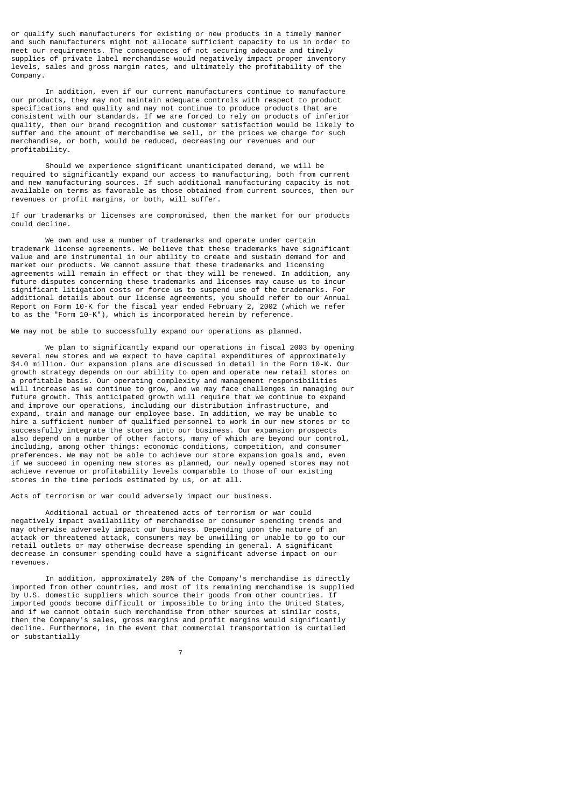or qualify such manufacturers for existing or new products in a timely manner and such manufacturers might not allocate sufficient capacity to us in order to meet our requirements. The consequences of not securing adequate and timely supplies of private label merchandise would negatively impact proper inventory levels, sales and gross margin rates, and ultimately the profitability of the Company.

 In addition, even if our current manufacturers continue to manufacture our products, they may not maintain adequate controls with respect to product specifications and quality and may not continue to produce products that are consistent with our standards. If we are forced to rely on products of inferior quality, then our brand recognition and customer satisfaction would be likely to suffer and the amount of merchandise we sell, or the prices we charge for such merchandise, or both, would be reduced, decreasing our revenues and our profitability.

 Should we experience significant unanticipated demand, we will be required to significantly expand our access to manufacturing, both from current and new manufacturing sources. If such additional manufacturing capacity is not available on terms as favorable as those obtained from current sources, then our revenues or profit margins, or both, will suffer.

If our trademarks or licenses are compromised, then the market for our products could decline.

We own and use a number of trademarks and operate under certain trademark license agreements. We believe that these trademarks have significant value and are instrumental in our ability to create and sustain demand for and market our products. We cannot assure that these trademarks and licensing agreements will remain in effect or that they will be renewed. In addition, any future disputes concerning these trademarks and licenses may cause us to incur significant litigation costs or force us to suspend use of the trademarks. For additional details about our license agreements, you should refer to our Annual Report on Form 10-K for the fiscal year ended February 2, 2002 (which we refer to as the "Form 10-K"), which is incorporated herein by reference.

We may not be able to successfully expand our operations as planned.

 We plan to significantly expand our operations in fiscal 2003 by opening several new stores and we expect to have capital expenditures of approximately \$4.0 million. Our expansion plans are discussed in detail in the Form 10-K. Our growth strategy depends on our ability to open and operate new retail stores on a profitable basis. Our operating complexity and management responsibilities will increase as we continue to grow, and we may face challenges in managing our future growth. This anticipated growth will require that we continue to expand and improve our operations, including our distribution infrastructure, and expand, train and manage our employee base. In addition, we may be unable to hire a sufficient number of qualified personnel to work in our new stores or to successfully integrate the stores into our business. Our expansion prospects also depend on a number of other factors, many of which are beyond our control, including, among other things: economic conditions, competition, and consumer preferences. We may not be able to achieve our store expansion goals and, even if we succeed in opening new stores as planned, our newly opened stores may not achieve revenue or profitability levels comparable to those of our existing stores in the time periods estimated by us, or at all.

Acts of terrorism or war could adversely impact our business.

 Additional actual or threatened acts of terrorism or war could negatively impact availability of merchandise or consumer spending trends and may otherwise adversely impact our business. Depending upon the nature of an attack or threatened attack, consumers may be unwilling or unable to go to our retail outlets or may otherwise decrease spending in general. A significant decrease in consumer spending could have a significant adverse impact on our revenues.

 In addition, approximately 20% of the Company's merchandise is directly imported from other countries, and most of its remaining merchandise is supplied by U.S. domestic suppliers which source their goods from other countries. If imported goods become difficult or impossible to bring into the United States, and if we cannot obtain such merchandise from other sources at similar costs, then the Company's sales, gross margins and profit margins would significantly decline. Furthermore, in the event that commercial transportation is curtailed or substantially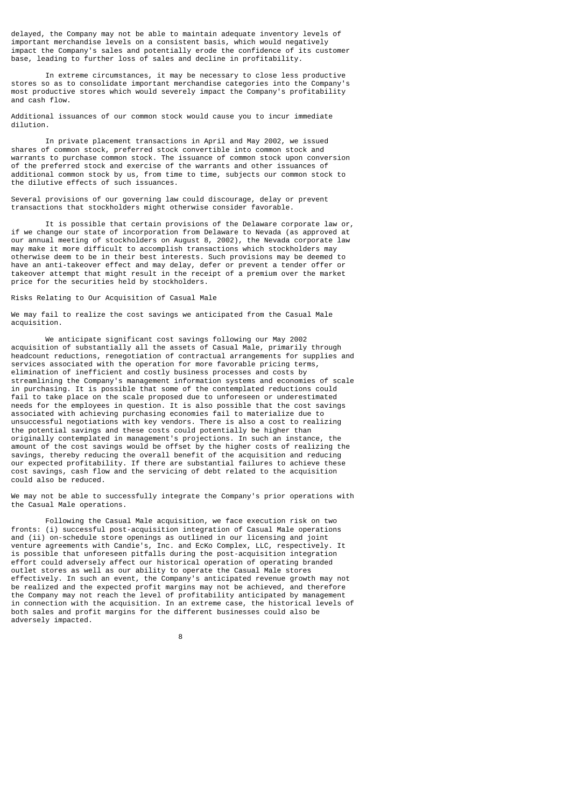delayed, the Company may not be able to maintain adequate inventory levels of important merchandise levels on a consistent basis, which would negatively impact the Company's sales and potentially erode the confidence of its customer base, leading to further loss of sales and decline in profitability.

 In extreme circumstances, it may be necessary to close less productive stores so as to consolidate important merchandise categories into the Company's most productive stores which would severely impact the Company's profitability and cash flow.

Additional issuances of our common stock would cause you to incur immediate dilution.

 In private placement transactions in April and May 2002, we issued shares of common stock, preferred stock convertible into common stock and warrants to purchase common stock. The issuance of common stock upon conversion of the preferred stock and exercise of the warrants and other issuances of additional common stock by us, from time to time, subjects our common stock to the dilutive effects of such issuances.

Several provisions of our governing law could discourage, delay or prevent transactions that stockholders might otherwise consider favorable.

 It is possible that certain provisions of the Delaware corporate law or, if we change our state of incorporation from Delaware to Nevada (as approved at our annual meeting of stockholders on August 8, 2002), the Nevada corporate law may make it more difficult to accomplish transactions which stockholders may otherwise deem to be in their best interests. Such provisions may be deemed to have an anti-takeover effect and may delay, defer or prevent a tender offer or takeover attempt that might result in the receipt of a premium over the market price for the securities held by stockholders.

# Risks Relating to Our Acquisition of Casual Male

We may fail to realize the cost savings we anticipated from the Casual Male acquisition.

 We anticipate significant cost savings following our May 2002 acquisition of substantially all the assets of Casual Male, primarily through headcount reductions, renegotiation of contractual arrangements for supplies and services associated with the operation for more favorable pricing terms, elimination of inefficient and costly business processes and costs by streamlining the Company's management information systems and economies of scale in purchasing. It is possible that some of the contemplated reductions could fail to take place on the scale proposed due to unforeseen or underestimated needs for the employees in question. It is also possible that the cost savings associated with achieving purchasing economies fail to materialize due to unsuccessful negotiations with key vendors. There is also a cost to realizing the potential savings and these costs could potentially be higher than originally contemplated in management's projections. In such an instance, the amount of the cost savings would be offset by the higher costs of realizing the savings, thereby reducing the overall benefit of the acquisition and reducing our expected profitability. If there are substantial failures to achieve these cost savings, cash flow and the servicing of debt related to the acquisition could also be reduced.

We may not be able to successfully integrate the Company's prior operations with the Casual Male operations.

 Following the Casual Male acquisition, we face execution risk on two fronts: (i) successful post-acquisition integration of Casual Male operations and (ii) on-schedule store openings as outlined in our licensing and joint venture agreements with Candie's, Inc. and EcKo Complex, LLC, respectively. It is possible that unforeseen pitfalls during the post-acquisition integration effort could adversely affect our historical operation of operating branded outlet stores as well as our ability to operate the Casual Male stores effectively. In such an event, the Company's anticipated revenue growth may not be realized and the expected profit margins may not be achieved, and therefore the Company may not reach the level of profitability anticipated by management in connection with the acquisition. In an extreme case, the historical levels of both sales and profit margins for the different businesses could also be adversely impacted.

en andere de la provincia de la provincia de la provincia de la provincia de la provincia de la provincia del<br>En 1888, en 1888, en 1888, en 1888, en 1888, en 1888, en 1888, en 1888, en 1888, en 1888, en 1888, en 1888, en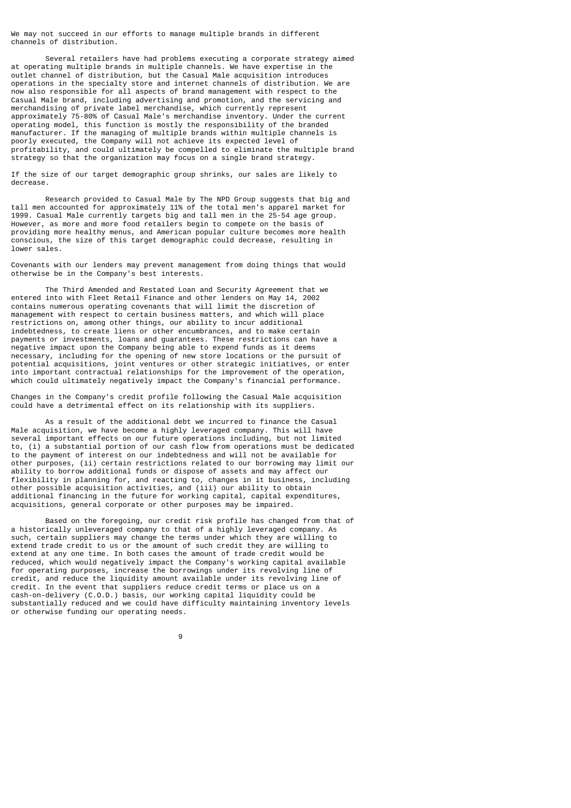We may not succeed in our efforts to manage multiple brands in different channels of distribution.

 Several retailers have had problems executing a corporate strategy aimed at operating multiple brands in multiple channels. We have expertise in the outlet channel of distribution, but the Casual Male acquisition introduces operations in the specialty store and internet channels of distribution. We are now also responsible for all aspects of brand management with respect to the Casual Male brand, including advertising and promotion, and the servicing and merchandising of private label merchandise, which currently represent approximately 75-80% of Casual Male's merchandise inventory. Under the current operating model, this function is mostly the responsibility of the branded manufacturer. If the managing of multiple brands within multiple channels is poorly executed, the Company will not achieve its expected level of profitability, and could ultimately be compelled to eliminate the multiple brand strategy so that the organization may focus on a single brand strategy.

If the size of our target demographic group shrinks, our sales are likely to decrease.

 Research provided to Casual Male by The NPD Group suggests that big and tall men accounted for approximately 11% of the total men's apparel market for 1999. Casual Male currently targets big and tall men in the 25-54 age group. However, as more and more food retailers begin to compete on the basis of providing more healthy menus, and American popular culture becomes more health conscious, the size of this target demographic could decrease, resulting in lower sales.

Covenants with our lenders may prevent management from doing things that would otherwise be in the Company's best interests.

 The Third Amended and Restated Loan and Security Agreement that we entered into with Fleet Retail Finance and other lenders on May 14, 2002 contains numerous operating covenants that will limit the discretion of management with respect to certain business matters, and which will place restrictions on, among other things, our ability to incur additional indebtedness, to create liens or other encumbrances, and to make certain payments or investments, loans and guarantees. These restrictions can have a negative impact upon the Company being able to expend funds as it deems necessary, including for the opening of new store locations or the pursuit of potential acquisitions, joint ventures or other strategic initiatives, or enter into important contractual relationships for the improvement of the operation, which could ultimately negatively impact the Company's financial performance.

Changes in the Company's credit profile following the Casual Male acquisition could have a detrimental effect on its relationship with its suppliers.

 As a result of the additional debt we incurred to finance the Casual Male acquisition, we have become a highly leveraged company. This will have several important effects on our future operations including, but not limited to, (i) a substantial portion of our cash flow from operations must be dedicated to the payment of interest on our indebtedness and will not be available for other purposes, (ii) certain restrictions related to our borrowing may limit our ability to borrow additional funds or dispose of assets and may affect our flexibility in planning for, and reacting to, changes in it business, including other possible acquisition activities, and (iii) our ability to obtain additional financing in the future for working capital, capital expenditures, acquisitions, general corporate or other purposes may be impaired.

 Based on the foregoing, our credit risk profile has changed from that of a historically unleveraged company to that of a highly leveraged company. As such, certain suppliers may change the terms under which they are willing to extend trade credit to us or the amount of such credit they are willing to extend at any one time. In both cases the amount of trade credit would be reduced, which would negatively impact the Company's working capital available for operating purposes, increase the borrowings under its revolving line of credit, and reduce the liquidity amount available under its revolving line of credit. In the event that suppliers reduce credit terms or place us on a cash-on-delivery (C.O.D.) basis, our working capital liquidity could be substantially reduced and we could have difficulty maintaining inventory levels or otherwise funding our operating needs.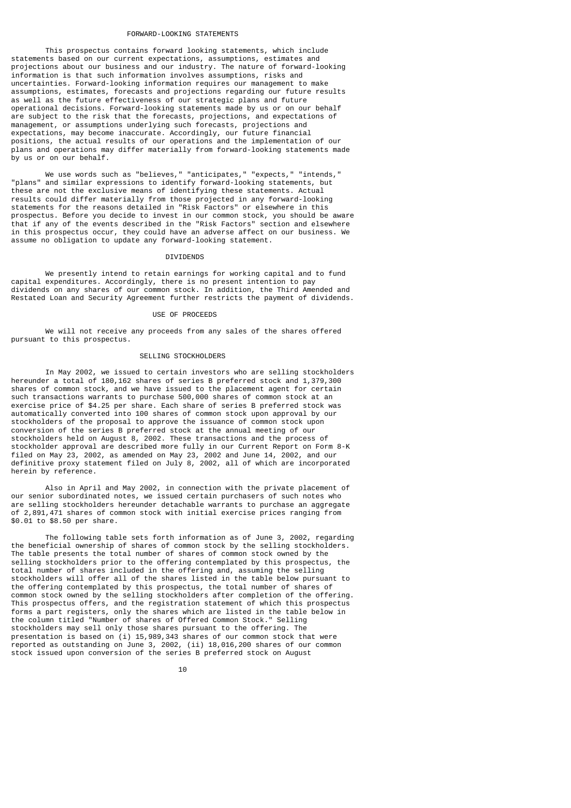### FORWARD-LOOKING STATEMENTS

 This prospectus contains forward looking statements, which include statements based on our current expectations, assumptions, estimates and projections about our business and our industry. The nature of forward-looking information is that such information involves assumptions, risks and uncertainties. Forward-looking information requires our management to make assumptions, estimates, forecasts and projections regarding our future results as well as the future effectiveness of our strategic plans and future operational decisions. Forward-looking statements made by us or on our behalf are subject to the risk that the forecasts, projections, and expectations of management, or assumptions underlying such forecasts, projections and expectations, may become inaccurate. Accordingly, our future financial positions, the actual results of our operations and the implementation of our plans and operations may differ materially from forward-looking statements made by us or on our behalf.

 We use words such as "believes," "anticipates," "expects," "intends," "plans" and similar expressions to identify forward-looking statements, but these are not the exclusive means of identifying these statements. Actual results could differ materially from those projected in any forward-looking statements for the reasons detailed in "Risk Factors" or elsewhere in this prospectus. Before you decide to invest in our common stock, you should be aware that if any of the events described in the "Risk Factors" section and elsewhere in this prospectus occur, they could have an adverse affect on our business. We assume no obligation to update any forward-looking statement.

### **DIVIDENDS**

 We presently intend to retain earnings for working capital and to fund capital expenditures. Accordingly, there is no present intention to pay dividends on any shares of our common stock. In addition, the Third Amended and Restated Loan and Security Agreement further restricts the payment of dividends.

### USE OF PROCEEDS

 We will not receive any proceeds from any sales of the shares offered pursuant to this prospectus.

# SELLING STOCKHOLDERS

 In May 2002, we issued to certain investors who are selling stockholders hereunder a total of 180,162 shares of series B preferred stock and 1,379,300 shares of common stock, and we have issued to the placement agent for certain such transactions warrants to purchase 500,000 shares of common stock at an exercise price of \$4.25 per share. Each share of series B preferred stock was automatically converted into 100 shares of common stock upon approval by our stockholders of the proposal to approve the issuance of common stock upon conversion of the series B preferred stock at the annual meeting of our stockholders held on August 8, 2002. These transactions and the process of stockholder approval are described more fully in our Current Report on Form 8-K filed on May 23, 2002, as amended on May 23, 2002 and June 14, 2002, and our definitive proxy statement filed on July 8, 2002, all of which are incorporated herein by reference.

 Also in April and May 2002, in connection with the private placement of our senior subordinated notes, we issued certain purchasers of such notes who are selling stockholders hereunder detachable warrants to purchase an aggregate of 2,891,471 shares of common stock with initial exercise prices ranging from \$0.01 to \$8.50 per share.

 The following table sets forth information as of June 3, 2002, regarding the beneficial ownership of shares of common stock by the selling stockholders. The table presents the total number of shares of common stock owned by the selling stockholders prior to the offering contemplated by this prospectus, the total number of shares included in the offering and, assuming the selling stockholders will offer all of the shares listed in the table below pursuant to the offering contemplated by this prospectus, the total number of shares of common stock owned by the selling stockholders after completion of the offering. This prospectus offers, and the registration statement of which this prospectus forms a part registers, only the shares which are listed in the table below in the column titled "Number of shares of Offered Common Stock." Selling stockholders may sell only those shares pursuant to the offering. The presentation is based on (i) 15,989,343 shares of our common stock that were reported as outstanding on June 3, 2002, (ii) 18,016,200 shares of our common stock issued upon conversion of the series B preferred stock on August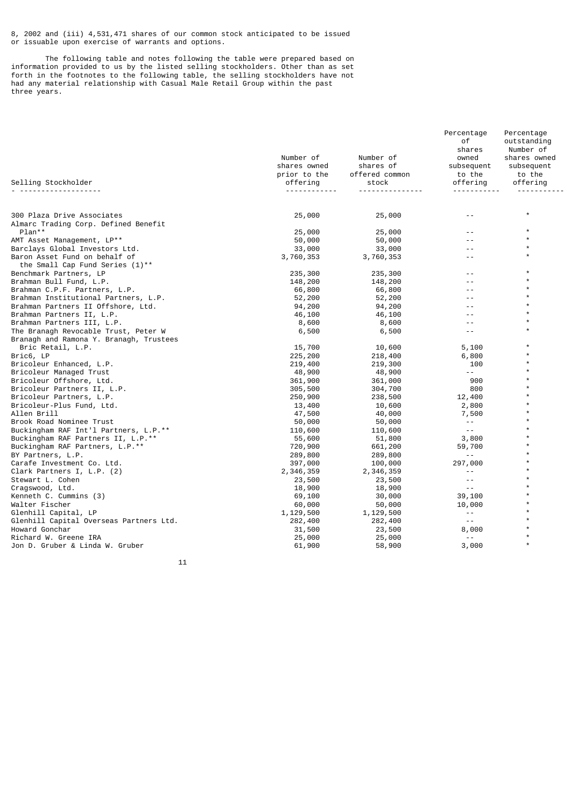8, 2002 and (iii) 4,531,471 shares of our common stock anticipated to be issued or issuable upon exercise of warrants and options.

 The following table and notes following the table were prepared based on information provided to us by the listed selling stockholders. Other than as set forth in the footnotes to the following table, the selling stockholders have not had any material relationship with Casual Male Retail Group within the past three years.

|                                                                     | Number of         | Number of         | Percentage<br>оf<br>shares<br>owned | Percentage<br>outstanding<br>Number of<br>shares owned |
|---------------------------------------------------------------------|-------------------|-------------------|-------------------------------------|--------------------------------------------------------|
|                                                                     | shares owned      | shares of         | subsequent                          | subsequent                                             |
|                                                                     | prior to the      | offered common    | to the                              | to the                                                 |
| Selling Stockholder                                                 | offering          | stock             | offering                            | offering                                               |
|                                                                     |                   |                   |                                     | $^\star$                                               |
| 300 Plaza Drive Associates<br>Almarc Trading Corp. Defined Benefit  | 25,000            | 25,000            |                                     |                                                        |
| Plan**                                                              | 25,000            | 25,000            |                                     | $\star$                                                |
| AMT Asset Management, LP**                                          | 50,000            | 50,000            |                                     | $\star$                                                |
| Barclays Global Investors Ltd.                                      | 33,000            | 33,000            |                                     | $\star$                                                |
| Baron Asset Fund on behalf of<br>the Small Cap Fund Series $(1)$ ** | 3,760,353         | 3,760,353         |                                     | $\star$                                                |
| Benchmark Partners, LP                                              | 235,300           | 235,300           |                                     | $\star$                                                |
| Brahman Bull Fund, L.P.                                             | 148,200           | 148,200           |                                     | $\star$                                                |
| Brahman C.P.F. Partners, L.P.                                       | 66,800            | 66,800            |                                     |                                                        |
| Brahman Institutional Partners, L.P.                                | 52,200            | 52,200            | $ -$                                | $\star$                                                |
| Brahman Partners II Offshore, Ltd.                                  | 94,200            | 94,200            |                                     |                                                        |
| Brahman Partners II, L.P.                                           | 46,100            | 46,100            | $ -$                                |                                                        |
| Brahman Partners III, L.P.                                          | 8,600             | 8,600             |                                     |                                                        |
| The Branagh Revocable Trust, Peter W                                | 6,500             | 6,500             | $- -$                               |                                                        |
| Branagh and Ramona Y. Branagh, Trustees                             |                   |                   |                                     |                                                        |
| Bric Retail, L.P.                                                   | 15,700            | 10,600            | 5,100                               | $\star$                                                |
| Bric6, LP                                                           | 225,200           | 218,400           | 6,800                               |                                                        |
| Bricoleur Enhanced, L.P.                                            | 219,400           | 219,300           | 100<br>$\sim$ $\sim$                | $\star$                                                |
| Bricoleur Managed Trust                                             | 48,900            | 48,900            |                                     |                                                        |
| Bricoleur Offshore, Ltd.                                            | 361,900           | 361,000           | 900                                 | $\star$                                                |
| Bricoleur Partners II, L.P.                                         | 305,500           | 304,700           | 800                                 |                                                        |
| Bricoleur Partners, L.P.                                            | 250,900           | 238,500           | 12,400                              |                                                        |
| Bricoleur-Plus Fund, Ltd.                                           | 13,400            | 10,600            | 2,800                               |                                                        |
| Allen Brill                                                         | 47,500            | 40,000            | 7,500<br>$\sim$ $\sim$              |                                                        |
| Brook Road Nominee Trust<br>Buckingham RAF Int'l Partners, L.P.**   | 50,000            | 50,000            | $\sim$ $\sim$                       |                                                        |
|                                                                     | 110,600           | 110,600           |                                     |                                                        |
| Buckingham RAF Partners II, L.P.**                                  | 55,600<br>720,900 | 51,800<br>661,200 | 3,800<br>59,700                     |                                                        |
| Buckingham RAF Partners, L.P.**<br>BY Partners, L.P.                | 289,800           | 289,800           | $- -$                               |                                                        |
| Carafe Investment Co. Ltd.                                          | 397,000           | 100,000           | 297,000                             | $\star$                                                |
| Clark Partners I, L.P. (2)                                          | 2,346,359         | 2,346,359         | $- -$                               |                                                        |
| Stewart L. Cohen                                                    | 23,500            | 23,500            | $- -$                               |                                                        |
| Cragswood, Ltd.                                                     | 18,900            | 18,900            | $- -$                               |                                                        |
| Kenneth C. Cummins (3)                                              | 69,100            | 30,000            | 39,100                              |                                                        |
| Walter Fischer                                                      | 60,000            | 50,000            | 10,000                              |                                                        |
| Glenhill Capital, LP                                                | 1,129,500         | 1,129,500         | $- -$                               | $\star$                                                |
| Glenhill Capital Overseas Partners Ltd.                             | 282,400           | 282,400           | $- -$                               |                                                        |
| Howard Gonchar                                                      | 31,500            | 23,500            | 8,000                               |                                                        |
| Richard W. Greene IRA                                               | 25,000            | 25,000            | $\sim$ $\sim$                       |                                                        |
| Jon D. Gruber & Linda W. Gruber                                     | 61,900            | 58,900            | 3,000                               | $\star$                                                |
|                                                                     |                   |                   |                                     |                                                        |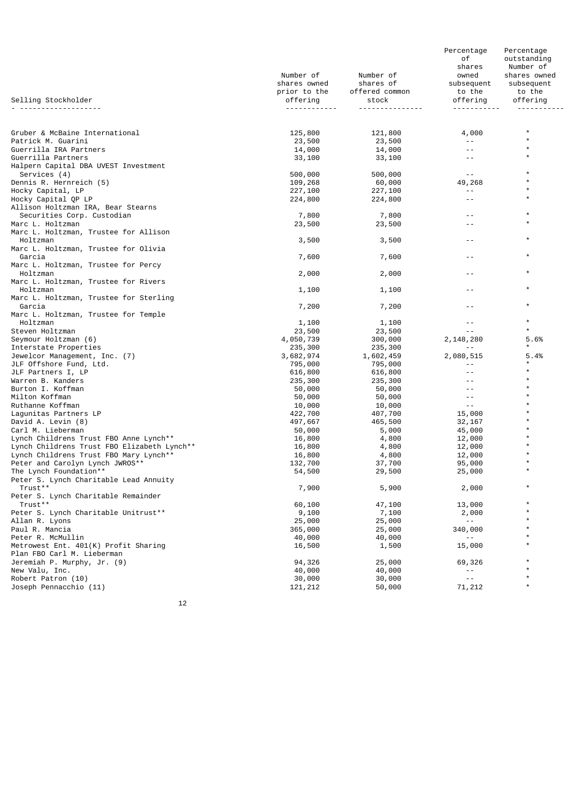|                                                           | Number of<br>shares owned<br>prior to the | Number of<br>shares of<br>offered common | Percentage<br>оf<br>shares<br>owned<br>subsequent<br>to the | Percentage<br>outstanding<br>Number of<br>shares owned<br>subsequent<br>to the |
|-----------------------------------------------------------|-------------------------------------------|------------------------------------------|-------------------------------------------------------------|--------------------------------------------------------------------------------|
| Selling Stockholder                                       | offering                                  | stock                                    | offering<br><u> - - - - - - - - - -</u>                     | offering                                                                       |
|                                                           |                                           |                                          |                                                             |                                                                                |
|                                                           |                                           |                                          |                                                             | $\star$                                                                        |
| Gruber & McBaine International<br>Patrick M. Guarini      | 125,800<br>23,500                         | 121,800<br>23,500                        | 4,000                                                       | $\star$                                                                        |
| Guerrilla IRA Partners                                    | 14,000                                    | 14,000                                   | $- -$                                                       | $\star$                                                                        |
| Guerrilla Partners                                        | 33,100                                    | 33,100                                   | $ -$                                                        | $\star$                                                                        |
| Halpern Capital DBA UVEST Investment                      |                                           |                                          |                                                             |                                                                                |
| Services (4)                                              | 500,000                                   | 500,000                                  | $\sim$ $-$                                                  | $\star$<br>$\star$                                                             |
| Dennis R. Hernreich (5)<br>Hocky Capital, LP              | 109,268<br>227,100                        | 60,000<br>227,100                        | 49,268<br>$- -$                                             | $\star$                                                                        |
| Hocky Capital QP LP                                       | 224,800                                   | 224,800                                  |                                                             | $\star$                                                                        |
| Allison Holtzman IRA, Bear Stearns                        |                                           |                                          |                                                             |                                                                                |
| Securities Corp. Custodian                                | 7,800                                     | 7,800                                    | $ -$                                                        | $\star$<br>$\star$                                                             |
| Marc L. Holtzman                                          | 23,500                                    | 23,500                                   | $ -$                                                        |                                                                                |
| Marc L. Holtzman, Trustee for Allison<br>Holtzman         | 3,500                                     | 3,500                                    |                                                             | $\star$                                                                        |
| Marc L. Holtzman, Trustee for Olivia                      |                                           |                                          |                                                             |                                                                                |
| Garcia                                                    | 7,600                                     | 7,600                                    |                                                             | $\star$                                                                        |
| Marc L. Holtzman, Trustee for Percy                       |                                           |                                          |                                                             | *                                                                              |
| Holtzman<br>Marc L. Holtzman, Trustee for Rivers          | 2,000                                     | 2,000                                    |                                                             |                                                                                |
| Holtzman                                                  | 1,100                                     | 1,100                                    | $ -$                                                        | $\star$                                                                        |
| Marc L. Holtzman, Trustee for Sterling                    |                                           |                                          |                                                             |                                                                                |
| Garcia                                                    | 7,200                                     | 7,200                                    | $- -$                                                       | $\star$                                                                        |
| Marc L. Holtzman, Trustee for Temple                      |                                           |                                          |                                                             | $\star$                                                                        |
| Holtzman<br>Steven Holtzman                               | 1,100<br>23,500                           | 1,100<br>23,500                          | $- -$                                                       | $\star$                                                                        |
| Seymour Holtzman (6)                                      | 4,050,739                                 | 300,000                                  | 2,148,280                                                   | 5.6%                                                                           |
| Interstate Properties                                     | 235,300                                   | 235,300                                  | $- -$                                                       | *                                                                              |
| Jewelcor Management, Inc. (7)                             | 3,682,974                                 | 1,602,459                                | 2,080,515                                                   | 5.4%                                                                           |
| JLF Offshore Fund, Ltd.                                   | 795,000                                   | 795,000                                  | $- -$<br>$ -$                                               |                                                                                |
| JLF Partners I, LP<br>Warren B. Kanders                   | 616,800<br>235,300                        | 616,800<br>235,300                       |                                                             | $\star$                                                                        |
| Burton I. Koffman                                         | 50,000                                    | 50,000                                   | $- -$                                                       |                                                                                |
| Milton Koffman                                            | 50,000                                    | 50,000                                   | $ -$                                                        |                                                                                |
| Ruthanne Koffman                                          | 10,000                                    | 10,000                                   | $- -$                                                       |                                                                                |
| Lagunitas Partners LP<br>David A. Levin (8)               | 422,700                                   | 407,700<br>465,500                       | 15,000                                                      |                                                                                |
| Carl M. Lieberman                                         | 497,667<br>50,000                         | 5,000                                    | 32,167<br>45,000                                            |                                                                                |
| Lynch Childrens Trust FBO Anne Lynch**                    | 16,800                                    | 4,800                                    | 12,000                                                      |                                                                                |
| Lynch Childrens Trust FBO Elizabeth Lynch**               | 16,800                                    | 4,800                                    | 12,000                                                      |                                                                                |
| Lynch Childrens Trust FBO Mary Lynch**                    | 16,800                                    | 4,800                                    | 12,000                                                      | $\star$                                                                        |
| Peter and Carolyn Lynch JWROS**<br>The Lynch Foundation** | 132,700<br>54,500                         | 37,700<br>29,500                         | 95,000<br>25,000                                            | $\star$                                                                        |
| Peter S. Lynch Charitable Lead Annuity                    |                                           |                                          |                                                             |                                                                                |
| Trust**                                                   | 7,900                                     | 5,900                                    | 2,000                                                       | $\star$                                                                        |
| Peter S. Lynch Charitable Remainder                       |                                           |                                          |                                                             |                                                                                |
| Trust**                                                   | 60,100                                    | 47,100                                   | 13,000                                                      | *<br>$\star$                                                                   |
| Peter S. Lynch Charitable Unitrust**<br>Allan R. Lyons    | 9,100<br>25,000                           | 7,100<br>25,000                          | 2,000<br>$  \,$                                             | *                                                                              |
| Paul R. Mancia                                            | 365,000                                   | 25,000                                   | 340,000                                                     | $\star$                                                                        |
| Peter R. McMullin                                         | 40,000                                    | 40,000                                   | $- -$                                                       |                                                                                |
| Metrowest Ent. 401(K) Profit Sharing                      | 16,500                                    | 1,500                                    | 15,000                                                      | $\star$                                                                        |
| Plan FBO Carl M. Lieberman                                |                                           |                                          |                                                             |                                                                                |
| Jeremiah P. Murphy, Jr. (9)<br>New Valu, Inc.             | 94,326<br>40,000                          | 25,000<br>40,000                         | 69,326<br>$\sim$ $-$                                        | $\star$                                                                        |
| Robert Patron (10)                                        | 30,000                                    | 30,000                                   | $\sim$ $\sim$                                               | $\star$                                                                        |
| Joseph Pennacchio (11)                                    | 121, 212                                  | 50,000                                   | 71, 212                                                     | $\star$                                                                        |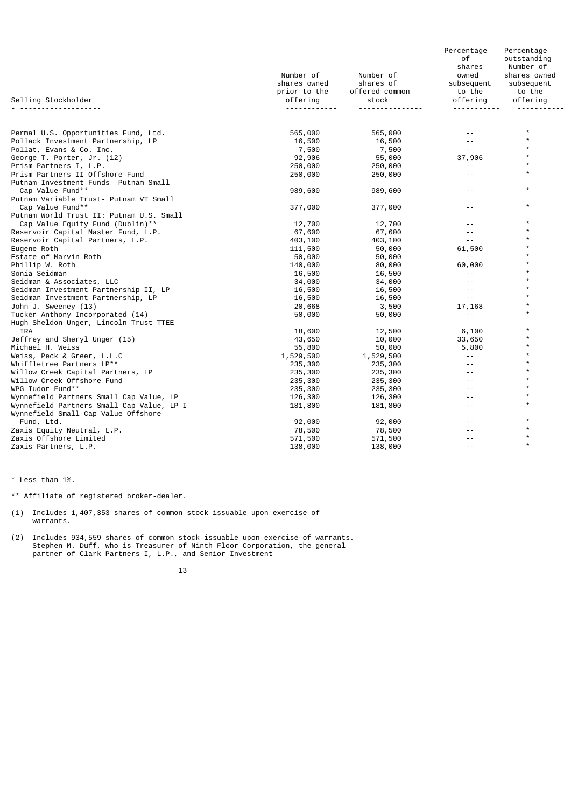|                                                                                  |              |                | Percentage<br>оf | Percentage<br>outstanding |
|----------------------------------------------------------------------------------|--------------|----------------|------------------|---------------------------|
|                                                                                  |              |                | shares           | Number of                 |
|                                                                                  | Number of    | Number of      | owned            | shares owned              |
|                                                                                  | shares owned | shares of      | subsequent       | subsequent                |
|                                                                                  | prior to the | offered common | to the           | to the                    |
| Selling Stockholder                                                              | offering     | stock          | offering         | offering                  |
| .                                                                                |              |                |                  |                           |
| Permal U.S. Opportunities Fund, Ltd.                                             | 565,000      | 565,000        |                  | $\star$                   |
| Pollack Investment Partnership, LP                                               | 16,500       | 16,500         | $ -$             | $\star$                   |
| Pollat, Evans & Co. Inc.                                                         | 7,500        | 7,500          | $\sim$ $\sim$    | $\star$                   |
| George T. Porter, Jr. (12)                                                       | 92,906       | 55,000         | 37,906           | $\star$                   |
| Prism Partners I, L.P.                                                           | 250,000      | 250,000        | $- -$            | $\star$                   |
| Prism Partners II Offshore Fund                                                  | 250,000      | 250,000        | $- -$            | $\star$                   |
| Putnam Investment Funds- Putnam Small                                            |              |                |                  |                           |
| Cap Value Fund**                                                                 | 989,600      | 989,600        | $- -$            | $\star$                   |
| Putnam Variable Trust- Putnam VT Small                                           |              |                |                  |                           |
| Cap Value Fund**                                                                 | 377,000      | 377,000        | $ -$             | $\star$                   |
| Putnam World Trust II: Putnam U.S. Small                                         |              |                |                  |                           |
| Cap Value Equity Fund (Dublin) **                                                | 12,700       | 12,700         | $ -$             | $\star$                   |
| Reservoir Capital Master Fund, L.P.                                              | 67,600       | 67,600         | $ -$             | $\star$                   |
| Reservoir Capital Partners, L.P.                                                 | 403,100      | 403,100        | $- -$            | $\star$                   |
| Eugene Roth                                                                      | 111,500      | 50,000         | 61,500           |                           |
| Estate of Marvin Roth                                                            | 50,000       | 50,000         | $- -$            |                           |
| Phillip W. Roth                                                                  | 140,000      | 80,000         | 60,000           |                           |
| Sonia Seidman                                                                    | 16,500       | 16,500         | $\sim$ $\sim$    |                           |
| Seidman & Associates, LLC                                                        | 34,000       | 34,000         | $ -$             |                           |
| Seidman Investment Partnership II, LP                                            | 16,500       | 16,500         | $ -$             |                           |
| Seidman Investment Partnership, LP                                               | 16,500       | 16,500         | $\sim$ $\sim$    |                           |
| John J. Sweeney (13)                                                             | 20,668       | 3,500          | 17,168           | $\star$                   |
| Tucker Anthony Incorporated (14)                                                 | 50,000       | 50,000         | $ -$             | $\star$                   |
| Hugh Sheldon Unger, Lincoln Trust TTEE                                           |              |                |                  |                           |
| IRA                                                                              | 18,600       | 12,500         | 6,100            |                           |
| Jeffrey and Sheryl Unger (15)                                                    | 43,650       | 10,000         | 33,650           | $\star$                   |
| Michael H. Weiss                                                                 | 55,800       | 50,000         | 5,800            | $\star$                   |
| Weiss, Peck & Greer, L.L.C                                                       | 1,529,500    | 1,529,500      | $\sim$ $\sim$    |                           |
| Whiffletree Partners LP**                                                        | 235,300      | 235,300        | $- -$            | $\star$                   |
| Willow Creek Capital Partners, LP                                                | 235,300      | 235,300        | $ -$             |                           |
| Willow Creek Offshore Fund                                                       | 235,300      | 235,300        | $ -$             | $\star$                   |
| WPG Tudor Fund**                                                                 | 235,300      | 235,300        | $ -$             | $\star$                   |
| Wynnefield Partners Small Cap Value, LP                                          | 126,300      | 126,300        | $- -$            | $\star$                   |
| Wynnefield Partners Small Cap Value, LP I<br>Wynnefield Small Cap Value Offshore | 181,800      | 181,800        | $ -$             | $\star$                   |
| Fund, Ltd.                                                                       | 92,000       | 92,000         |                  | $\star$                   |
| Zaxis Equity Neutral, L.P.                                                       | 78,500       | 78,500         |                  | $\star$                   |
| Zaxis Offshore Limited                                                           | 571,500      | 571,500        |                  | $\star$                   |
| Zaxis Partners, L.P.                                                             | 138,000      | 138,000        | $ -$             | $\star$                   |

\* Less than 1%.

\*\* Affiliate of registered broker-dealer.

(1) Includes 1,407,353 shares of common stock issuable upon exercise of warrants.

(2) Includes 934,559 shares of common stock issuable upon exercise of warrants. Stephen M. Duff, who is Treasurer of Ninth Floor Corporation, the general partner of Clark Partners I, L.P., and Senior Investment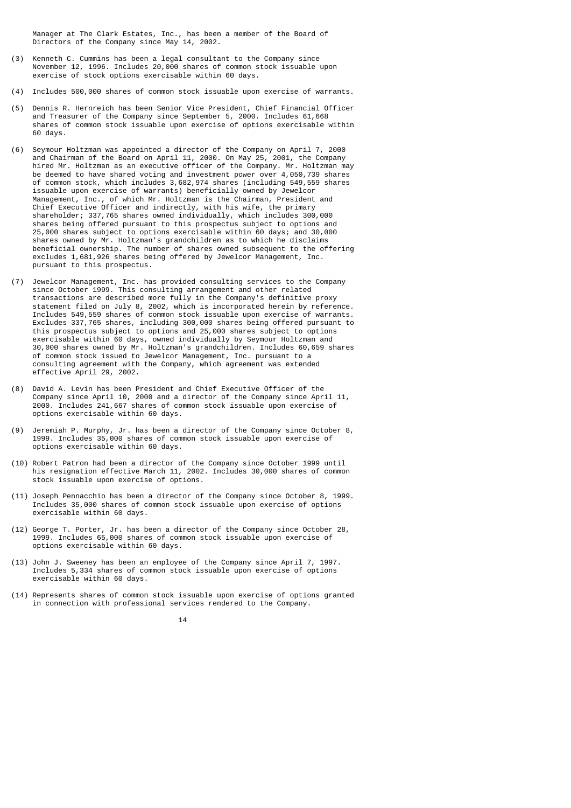Manager at The Clark Estates, Inc., has been a member of the Board of Directors of the Company since May 14, 2002.

- (3) Kenneth C. Cummins has been a legal consultant to the Company since November 12, 1996. Includes 20,000 shares of common stock issuable upon exercise of stock options exercisable within 60 days.
- (4) Includes 500,000 shares of common stock issuable upon exercise of warrants.
- (5) Dennis R. Hernreich has been Senior Vice President, Chief Financial Officer and Treasurer of the Company since September 5, 2000. Includes 61,668 shares of common stock issuable upon exercise of options exercisable within 60 days.
- (6) Seymour Holtzman was appointed a director of the Company on April 7, 2000 and Chairman of the Board on April 11, 2000. On May 25, 2001, the Company hired Mr. Holtzman as an executive officer of the Company. Mr. Holtzman may be deemed to have shared voting and investment power over 4,050,739 shares of common stock, which includes 3,682,974 shares (including 549,559 shares issuable upon exercise of warrants) beneficially owned by Jewelcor Management, Inc., of which Mr. Holtzman is the Chairman, President and Chief Executive Officer and indirectly, with his wife, the primary shareholder; 337,765 shares owned individually, which includes 300,000 shares being offered pursuant to this prospectus subject to options and 25,000 shares subject to options exercisable within 60 days; and 30,000 shares owned by Mr. Holtzman's grandchildren as to which he disclaims beneficial ownership. The number of shares owned subsequent to the offering excludes 1,681,926 shares being offered by Jewelcor Management, Inc. pursuant to this prospectus.
- (7) Jewelcor Management, Inc. has provided consulting services to the Company since October 1999. This consulting arrangement and other related transactions are described more fully in the Company's definitive proxy statement filed on July 8, 2002, which is incorporated herein by reference. Includes 549,559 shares of common stock issuable upon exercise of warrants. Excludes 337,765 shares, including 300,000 shares being offered pursuant to this prospectus subject to options and 25,000 shares subject to options exercisable within 60 days, owned individually by Seymour Holtzman and 30,000 shares owned by Mr. Holtzman's grandchildren. Includes 60,659 shares of common stock issued to Jewelcor Management, Inc. pursuant to a consulting agreement with the Company, which agreement was extended effective April 29, 2002.
- (8) David A. Levin has been President and Chief Executive Officer of the Company since April 10, 2000 and a director of the Company since April 11, 2000. Includes 241,667 shares of common stock issuable upon exercise of options exercisable within 60 days.
- (9) Jeremiah P. Murphy, Jr. has been a director of the Company since October 8, 1999. Includes 35,000 shares of common stock issuable upon exercise of options exercisable within 60 days.
- (10) Robert Patron had been a director of the Company since October 1999 until his resignation effective March 11, 2002. Includes 30,000 shares of common stock issuable upon exercise of options.
- (11) Joseph Pennacchio has been a director of the Company since October 8, 1999. Includes 35,000 shares of common stock issuable upon exercise of options exercisable within 60 days.
- (12) George T. Porter, Jr. has been a director of the Company since October 28, 1999. Includes 65,000 shares of common stock issuable upon exercise of options exercisable within 60 days.
- (13) John J. Sweeney has been an employee of the Company since April 7, 1997. Includes 5,334 shares of common stock issuable upon exercise of options exercisable within 60 days.
- (14) Represents shares of common stock issuable upon exercise of options granted in connection with professional services rendered to the Company.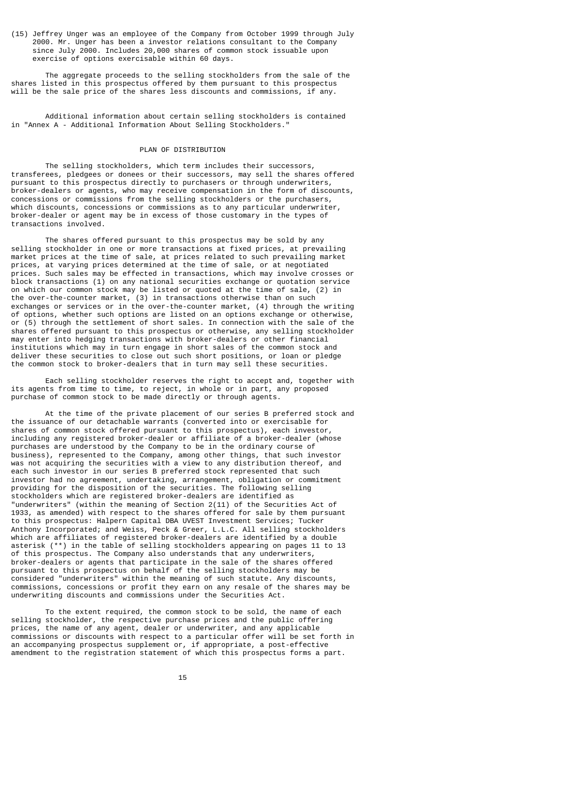(15) Jeffrey Unger was an employee of the Company from October 1999 through July 2000. Mr. Unger has been a investor relations consultant to the Company since July 2000. Includes 20,000 shares of common stock issuable upon exercise of options exercisable within 60 days.

 The aggregate proceeds to the selling stockholders from the sale of the shares listed in this prospectus offered by them pursuant to this prospectus will be the sale price of the shares less discounts and commissions, if any.

 Additional information about certain selling stockholders is contained in "Annex A - Additional Information About Selling Stockholders."

# PLAN OF DISTRIBUTION

 The selling stockholders, which term includes their successors, transferees, pledgees or donees or their successors, may sell the shares offered pursuant to this prospectus directly to purchasers or through underwriters, broker-dealers or agents, who may receive compensation in the form of discounts, concessions or commissions from the selling stockholders or the purchasers, which discounts, concessions or commissions as to any particular underwriter, broker-dealer or agent may be in excess of those customary in the types of transactions involved.

 The shares offered pursuant to this prospectus may be sold by any selling stockholder in one or more transactions at fixed prices, at prevailing market prices at the time of sale, at prices related to such prevailing market prices, at varying prices determined at the time of sale, or at negotiated prices. Such sales may be effected in transactions, which may involve crosses or block transactions (1) on any national securities exchange or quotation service on which our common stock may be listed or quoted at the time of sale, (2) in the over-the-counter market, (3) in transactions otherwise than on such exchanges or services or in the over-the-counter market, (4) through the writing of options, whether such options are listed on an options exchange or otherwise, or (5) through the settlement of short sales. In connection with the sale of the shares offered pursuant to this prospectus or otherwise, any selling stockholder may enter into hedging transactions with broker-dealers or other financial institutions which may in turn engage in short sales of the common stock and deliver these securities to close out such short positions, or loan or pledge the common stock to broker-dealers that in turn may sell these securities.

 Each selling stockholder reserves the right to accept and, together with its agents from time to time, to reject, in whole or in part, any proposed purchase of common stock to be made directly or through agents.

 At the time of the private placement of our series B preferred stock and the issuance of our detachable warrants (converted into or exercisable for shares of common stock offered pursuant to this prospectus), each investor, including any registered broker-dealer or affiliate of a broker-dealer (whose purchases are understood by the Company to be in the ordinary course of business), represented to the Company, among other things, that such investor was not acquiring the securities with a view to any distribution thereof, and each such investor in our series B preferred stock represented that such investor had no agreement, undertaking, arrangement, obligation or commitment providing for the disposition of the securities. The following selling stockholders which are registered broker-dealers are identified as "underwriters" (within the meaning of Section 2(11) of the Securities Act of 1933, as amended) with respect to the shares offered for sale by them pursuant to this prospectus: Halpern Capital DBA UVEST Investment Services; Tucker Anthony Incorporated; and Weiss, Peck & Greer, L.L.C. All selling stockholders which are affiliates of registered broker-dealers are identified by a double asterisk (\*\*) in the table of selling stockholders appearing on pages 11 to 13 of this prospectus. The Company also understands that any underwriters, broker-dealers or agents that participate in the sale of the shares offered pursuant to this prospectus on behalf of the selling stockholders may be considered "underwriters" within the meaning of such statute. Any discounts, commissions, concessions or profit they earn on any resale of the shares may be underwriting discounts and commissions under the Securities Act.

 To the extent required, the common stock to be sold, the name of each selling stockholder, the respective purchase prices and the public offering prices, the name of any agent, dealer or underwriter, and any applicable commissions or discounts with respect to a particular offer will be set forth in an accompanying prospectus supplement or, if appropriate, a post-effective amendment to the registration statement of which this prospectus forms a part.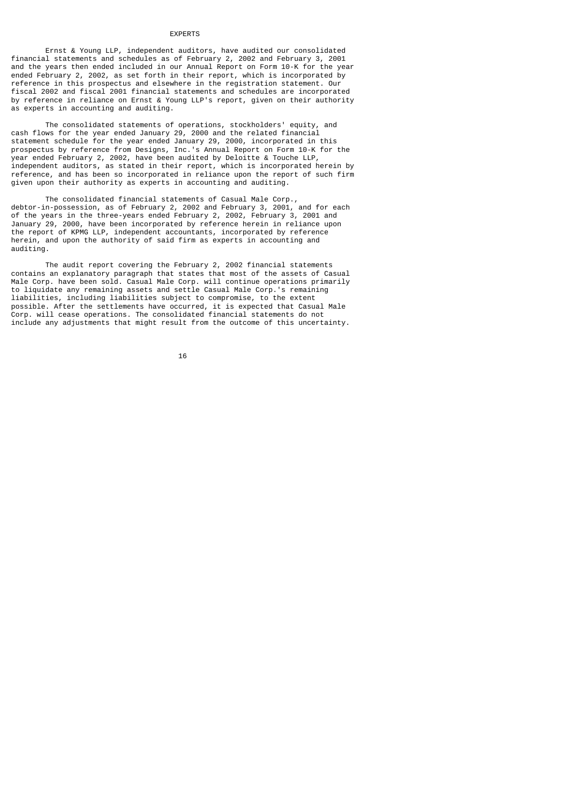#### EXPERTS

 Ernst & Young LLP, independent auditors, have audited our consolidated financial statements and schedules as of February 2, 2002 and February 3, 2001 and the years then ended included in our Annual Report on Form 10-K for the year ended February 2, 2002, as set forth in their report, which is incorporated by reference in this prospectus and elsewhere in the registration statement. Our fiscal 2002 and fiscal 2001 financial statements and schedules are incorporated by reference in reliance on Ernst & Young LLP's report, given on their authority as experts in accounting and auditing.

 The consolidated statements of operations, stockholders' equity, and cash flows for the year ended January 29, 2000 and the related financial statement schedule for the year ended January 29, 2000, incorporated in this prospectus by reference from Designs, Inc.'s Annual Report on Form 10-K for the year ended February 2, 2002, have been audited by Deloitte & Touche LLP, independent auditors, as stated in their report, which is incorporated herein by reference, and has been so incorporated in reliance upon the report of such firm given upon their authority as experts in accounting and auditing.

 The consolidated financial statements of Casual Male Corp., debtor-in-possession, as of February 2, 2002 and February 3, 2001, and for each of the years in the three-years ended February 2, 2002, February 3, 2001 and January 29, 2000, have been incorporated by reference herein in reliance upon the report of KPMG LLP, independent accountants, incorporated by reference herein, and upon the authority of said firm as experts in accounting and auditing.

 The audit report covering the February 2, 2002 financial statements contains an explanatory paragraph that states that most of the assets of Casual Male Corp. have been sold. Casual Male Corp. will continue operations primarily to liquidate any remaining assets and settle Casual Male Corp.'s remaining liabilities, including liabilities subject to compromise, to the extent possible. After the settlements have occurred, it is expected that Casual Male Corp. will cease operations. The consolidated financial statements do not include any adjustments that might result from the outcome of this uncertainty.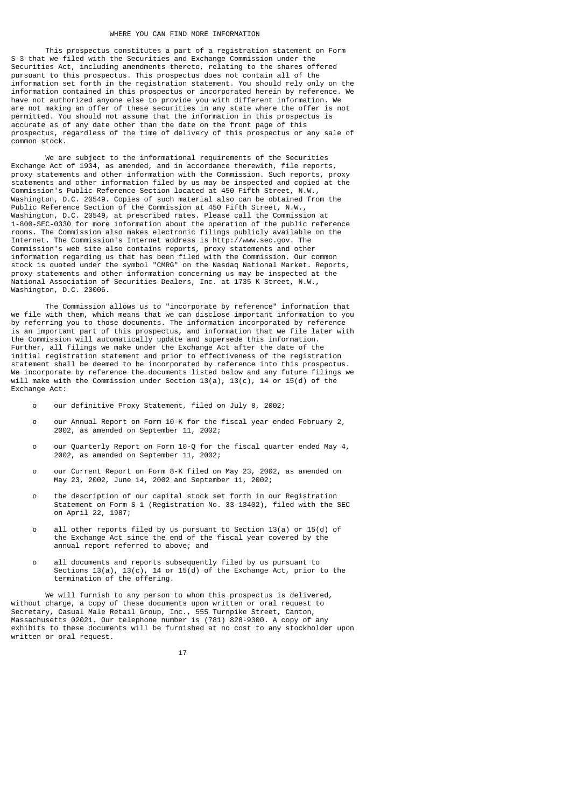#### WHERE YOU CAN FIND MORE INFORMATION

 This prospectus constitutes a part of a registration statement on Form S-3 that we filed with the Securities and Exchange Commission under the Securities Act, including amendments thereto, relating to the shares offered pursuant to this prospectus. This prospectus does not contain all of the information set forth in the registration statement. You should rely only on the information contained in this prospectus or incorporated herein by reference. We have not authorized anyone else to provide you with different information. We are not making an offer of these securities in any state where the offer is not permitted. You should not assume that the information in this prospectus is accurate as of any date other than the date on the front page of this prospectus, regardless of the time of delivery of this prospectus or any sale of common stock.

 We are subject to the informational requirements of the Securities Exchange Act of 1934, as amended, and in accordance therewith, file reports, proxy statements and other information with the Commission. Such reports, proxy statements and other information filed by us may be inspected and copied at the Commission's Public Reference Section located at 450 Fifth Street, N.W., Washington, D.C. 20549. Copies of such material also can be obtained from the Public Reference Section of the Commission at 450 Fifth Street, N.W., Washington, D.C. 20549, at prescribed rates. Please call the Commission at 1-800-SEC-0330 for more information about the operation of the public reference rooms. The Commission also makes electronic filings publicly available on the Internet. The Commission's Internet address is http://www.sec.gov. The Commission's web site also contains reports, proxy statements and other information regarding us that has been filed with the Commission. Our common stock is quoted under the symbol "CMRG" on the Nasdaq National Market. Reports, proxy statements and other information concerning us may be inspected at the National Association of Securities Dealers, Inc. at 1735 K Street, N.W., Washington, D.C. 20006.

 The Commission allows us to "incorporate by reference" information that we file with them, which means that we can disclose important information to you by referring you to those documents. The information incorporated by reference is an important part of this prospectus, and information that we file later with the Commission will automatically update and supersede this information. Further, all filings we make under the Exchange Act after the date of the initial registration statement and prior to effectiveness of the registration statement shall be deemed to be incorporated by reference into this prospectus. We incorporate by reference the documents listed below and any future filings we will make with the Commission under Section 13(a), 13(c), 14 or 15(d) of the Exchange Act:

- o our definitive Proxy Statement, filed on July 8, 2002;
- o our Annual Report on Form 10-K for the fiscal year ended February 2, 2002, as amended on September 11, 2002;
- o our Quarterly Report on Form 10-Q for the fiscal quarter ended May 4, 2002, as amended on September 11, 2002;
- o our Current Report on Form 8-K filed on May 23, 2002, as amended on May 23, 2002, June 14, 2002 and September 11, 2002;
- o the description of our capital stock set forth in our Registration Statement on Form S-1 (Registration No. 33-13402), filed with the SEC on April 22, 1987;
- o all other reports filed by us pursuant to Section 13(a) or 15(d) of the Exchange Act since the end of the fiscal year covered by the annual report referred to above; and
	- o all documents and reports subsequently filed by us pursuant to Sections 13(a), 13(c), 14 or 15(d) of the Exchange Act, prior to the termination of the offering.

 We will furnish to any person to whom this prospectus is delivered, without charge, a copy of these documents upon written or oral request to Secretary, Casual Male Retail Group, Inc., 555 Turnpike Street, Canton, Massachusetts 02021. Our telephone number is (781) 828-9300. A copy of any exhibits to these documents will be furnished at no cost to any stockholder upon written or oral request.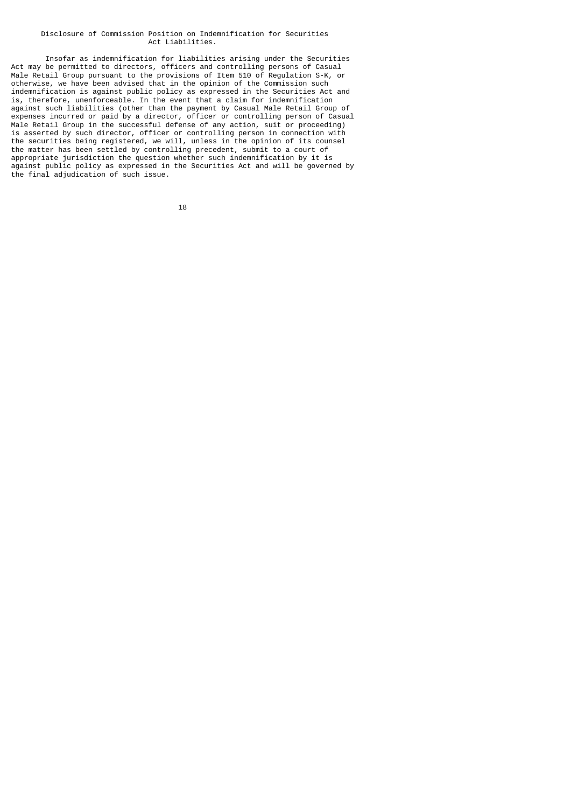### Disclosure of Commission Position on Indemnification for Securities Act Liabilities.

 Insofar as indemnification for liabilities arising under the Securities Act may be permitted to directors, officers and controlling persons of Casual Male Retail Group pursuant to the provisions of Item 510 of Regulation S-K, or otherwise, we have been advised that in the opinion of the Commission such indemnification is against public policy as expressed in the Securities Act and is, therefore, unenforceable. In the event that a claim for indemnification against such liabilities (other than the payment by Casual Male Retail Group of expenses incurred or paid by a director, officer or controlling person of Casual Male Retail Group in the successful defense of any action, suit or proceeding) is asserted by such director, officer or controlling person in connection with the securities being registered, we will, unless in the opinion of its counsel the matter has been settled by controlling precedent, submit to a court of appropriate jurisdiction the question whether such indemnification by it is against public policy as expressed in the Securities Act and will be governed by the final adjudication of such issue.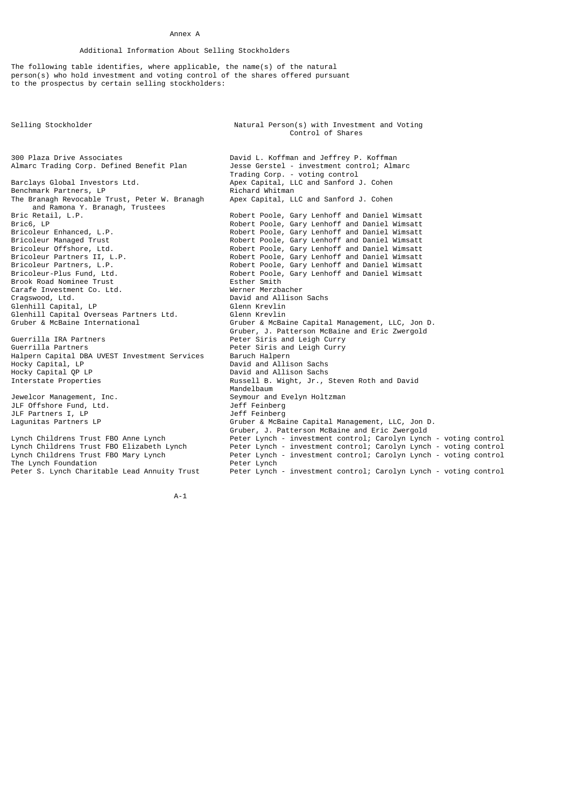### Annex A

# Additional Information About Selling Stockholders

The following table identifies, where applicable, the name(s) of the natural person(s) who hold investment and voting control of the shares offered pursuant to the prospectus by certain selling stockholders:

Selling Stockholder Natural Person(s) with Investment and Voting Control of Shares 300 Plaza Drive Associates David L. Koffman and Jeffrey P. Koffman<br>Almarc Trading Corp. Defined Benefit Plan Jesse Gerstel - investment control; Alm Almarc Trading Corp. Defined Benefit Plan Jesse Gerstel - investment control; Almarc Trading Corp. - voting control Barclays Global Investors Ltd. Apex Capital, LLC and Sanford J. Cohen<br>Benchmark Partners, LP Richard Whitman Benchmark Partners, LP<br>The Branagh Revocable Trust, Peter W. Branagh Apex Capital, LLC and Sanford J. Cohen The Branagh Revocable Trust, Peter W. Branagh and Ramona Y. Branagh, Trustees<br>Bric Retail, L.P. Bric Retail, L.P. The Communist Robert Poole, Gary Lenhoff and Daniel Wimsatt Bric6, LP<br>Robert Poole, Gary Lenhoff and Daniel Wimsatt Bric6, LP<br>Bricoleur Enhanced, L.P. Robert Poole, Gary Lenhoff and Daniel Wimsatt Bricoleur Enhanced, L.P. Robert Poole, Gary Lenhoff and Daniel Wimsatt Bricoleur Managed Trust Form and Robert Poole, Gary Lenhoff and Daniel Wimsatt<br>Bricoleur Offshore, Ltd. Robert Poole, Gary Lenhoff and Daniel Wimsatt Bricoleur Offshore, Ltd. Robert Poole, Gary Lenhoff and Daniel Wimsatt Bricoleur Partners II, L.P. Robert Poole, Gary Lenhoff and Daniel Wimsatt Bricoleur Partners, L.P. Robert Poole, Gary Lenhoff and Daniel Wimsatt Bricoleur-Plus Fund, Ltd. Robert Poole, Gary Lenhoff and Daniel Wimsatt Brook Road Nominee Trust<br>Carafe Investment Co. Itd. The South Member Merzbacher Carafe Investment Co. Ltd.<br>Cragswood, Ltd. David and Allison Sachs<br>Glenn Krevlin Glenhill Capital, LP Glenn Krevlin Glenhill Capital Overseas Partners Ltd.<br>Gruber & McBaine International Gruber & McBaine Capital Management, LLC, Jon D. Gruber, J. Patterson McBaine and Eric Zwergold<br>Peter Siris and Leigh Curry (Peter Siris and Leigh Curry) Guerrilla IRA Partners and Leigh Curry (Peter Siris and Leigh Curry Guerrilla Partners and Leigh Curry (Peter Siris and Leigh Curry Peter Siris and Leigh Curry<br>Baruch Halpern Halpern Capital DBA UVEST Investment Services<br>Hocky Capital, LP Hocky Capital, LP David and Allison Sachs Hocky Capital QP LP<br>
Interstate Properties<br>
David and Allison Sachs<br>
Russell B. Wight, Jr., Russell B. Wight, Jr., Steven Roth and David Mandelbaum Management, Inc. Seymour and Evelyn Holtzman<br>Jeff Feinberg JLF Offshore Fund, Ltd. Jeff Feinberg JLF Partners I, LP<br>Lagunitas Partners LP Gruber & McBaine Capital Management, LLC, Jon D. Gruber, J. Patterson McBaine and Eric Zwergold Lynch Childrens Trust FBO Anne Lynch Peter Lynch - investment control; Carolyn Lynch - voting control Lynch Childrens Trust FBO Elizabeth Lynch Peter Lynch - investment control; Carolyn Lynch - voting control Lynch Childrens Trust FBO Mary Lynch Peter Lynch - investment control; Carolyn Lynch - voting control The Lynch Foundation<br>Peter S. Lynch Charitable Lead Annuity Trust Peter Lynch - investment control; Carolyn Lynch - voting control

A-1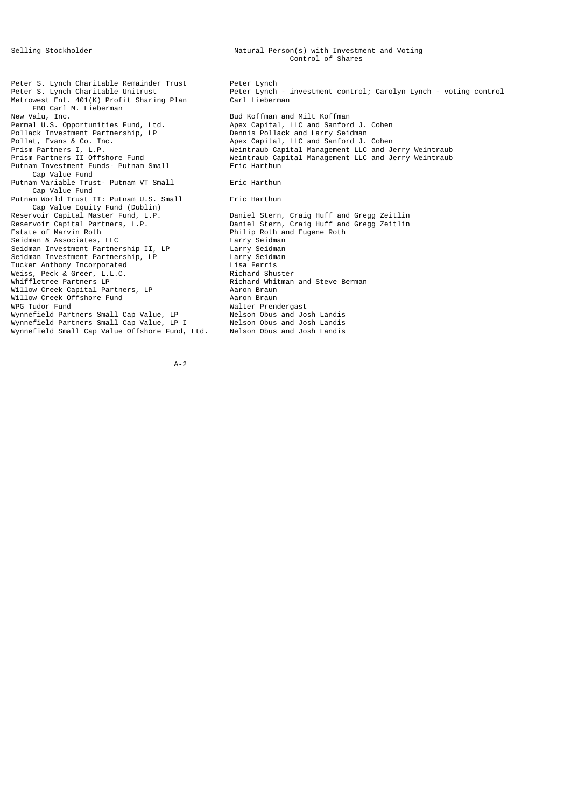Peter S. Lynch Charitable Remainder Trust Peter Lynch Metrowest Ent. 401(K) Profit Sharing Plan FBO Carl M. Lieberman<br>New Valu, Inc. New Valu, Inc. Bud Koffman and Milt Koffman Permal U.S. Opportunities Fund, Ltd. Apex Capital, LLC and Sanford J. Cohen Pollack Investment Partnership, LP Dennis Pollack and Larry Seidman Pollat, Evans & Co. Inc. Apex Capital, LLC and Sanford J. Cohen Putnam Investment Funds- Putnam Small Cap Value Fund Putnam Variable Trust- Putnam VT Small Fric Harthun Cap Value Fund Putnam World Trust II: Putnam U.S. Small Fric Harthun Cap Value Equity Fund (Dublin)<br>Reservoir Capital Master Fund, L.P. Reservoir Capital Master Fund, L.P. Daniel Stern, Craig Huff and Gregg Zeitlin Reservoir Capital Partners, L.P. Daniel Stern, Craig Huff and Gregg Zeitlin Reservoir Capital Partners, L.P. Daniel Stern, Craig Huff and Gregg Zeitlin Seidman & Associates, LLC<br>
Seidman Seidman Investment Partnership II, LP<br>
Seidman Investment Partnership, LP<br>
Larry Seidman Investment Partnership, LP<br>
Larry Seidman Seidman Investment Partnership II, LP Larry Seidman Seidman Investment Partnership, LP Larry Seidman Tucker Anthony Incorporated Lisa Ferris Weiss, Peck & Greer, L.L.C. Richard Shuster Whiffletree Partners LP<br>
Willow Creek Capital Partners, IP<br>
Aaron Braun Willow Creek Capital Partners, LP Aaron Braun Willow Creek Offshore Fund<br>WPG Tudor Fund Wynnefield Partners Small Cap Value, LP Nelson Obus and Josh Landis<br>Wynnefield Partners Small Cap Value, LP I Nelson Obus and Josh Landis Wynnefield Partners Small Cap Value, LP I Nelson Obus and Josh Landis<br>Wynnefield Small Cap Value Offshore Fund, Ltd. Nelson Obus and Josh Landis Wynnefield Small Cap Value Offshore Fund, Ltd.

Peter S. Lynch Charitable Unitrust<br>Metrowest Ent. 401(K) Profit Sharing Plan and Carl Lieberman Prism Partners I, L.P. Weintraub Capital Management LLC and Jerry Weintraub Prism Partners II Offshore Fund<br>Putnam Investment Funds- Putnam Small Weintraub Capital Management LLC and Jerry Weintraub Philip Roth and Eugene Roth<br>Larry Seidman Walter Prendergast<br>Nelson Obus and Josh Landis

#### A-2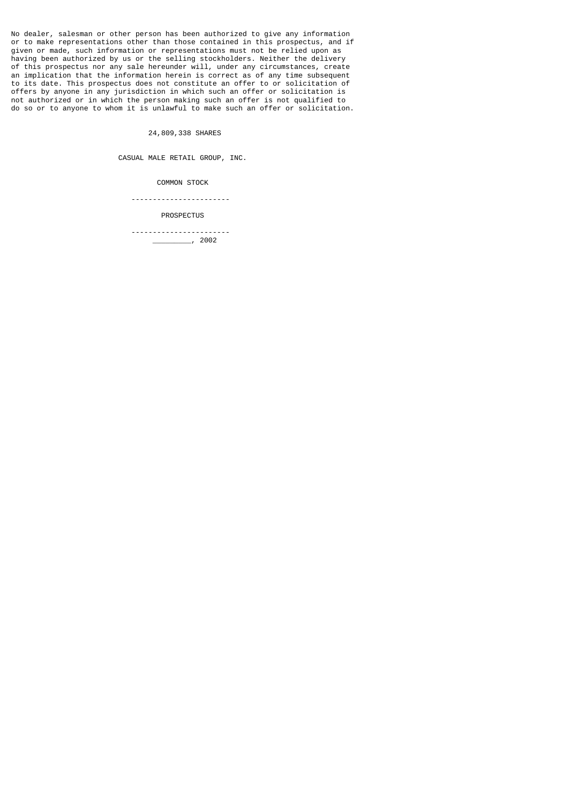No dealer, salesman or other person has been authorized to give any information or to make representations other than those contained in this prospectus, and if given or made, such information or representations must not be relied upon as having been authorized by us or the selling stockholders. Neither the delivery of this prospectus nor any sale hereunder will, under any circumstances, create an implication that the information herein is correct as of any time subsequent to its date. This prospectus does not constitute an offer to or solicitation of offers by anyone in any jurisdiction in which such an offer or solicitation is not authorized or in which the person making such an offer is not qualified to do so or to anyone to whom it is unlawful to make such an offer or solicitation.

24,809,338 SHARES

CASUAL MALE RETAIL GROUP, INC.

COMMON STOCK

-----------------------

PROSPECTUS

 ----------------------- \_\_\_\_\_\_\_\_\_, 2002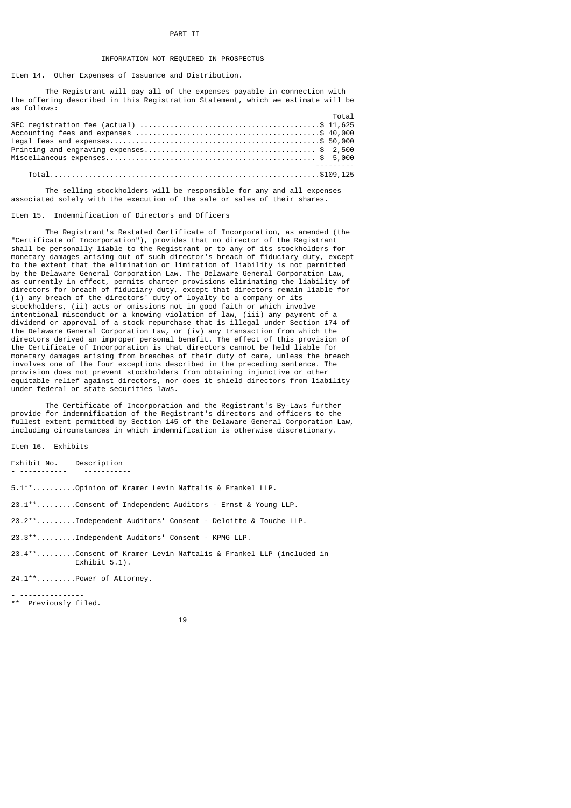### PART II

# INFORMATION NOT REQUIRED IN PROSPECTUS

Item 14. Other Expenses of Issuance and Distribution.

 The Registrant will pay all of the expenses payable in connection with the offering described in this Registration Statement, which we estimate will be as follows:

| <b>Total</b> |          |
|--------------|----------|
|              |          |
|              |          |
|              |          |
|              |          |
|              |          |
|              | <u>.</u> |
|              |          |

 The selling stockholders will be responsible for any and all expenses associated solely with the execution of the sale or sales of their shares.

#### Item 15. Indemnification of Directors and Officers

 The Registrant's Restated Certificate of Incorporation, as amended (the "Certificate of Incorporation"), provides that no director of the Registrant shall be personally liable to the Registrant or to any of its stockholders for monetary damages arising out of such director's breach of fiduciary duty, except to the extent that the elimination or limitation of liability is not permitted by the Delaware General Corporation Law. The Delaware General Corporation Law, as currently in effect, permits charter provisions eliminating the liability of directors for breach of fiduciary duty, except that directors remain liable for (i) any breach of the directors' duty of loyalty to a company or its stockholders, (ii) acts or omissions not in good faith or which involve intentional misconduct or a knowing violation of law, (iii) any payment of a dividend or approval of a stock repurchase that is illegal under Section 174 of the Delaware General Corporation Law, or (iv) any transaction from which the directors derived an improper personal benefit. The effect of this provision of the Certificate of Incorporation is that directors cannot be held liable for monetary damages arising from breaches of their duty of care, unless the breach involves one of the four exceptions described in the preceding sentence. The provision does not prevent stockholders from obtaining injunctive or other equitable relief against directors, nor does it shield directors from liability under federal or state securities laws.

 The Certificate of Incorporation and the Registrant's By-Laws further provide for indemnification of the Registrant's directors and officers to the fullest extent permitted by Section 145 of the Delaware General Corporation Law, including circumstances in which indemnification is otherwise discretionary.

Item 16. Exhibits

Exhibit No. Description - ----------- -----------

5.1\*\*..........Opinion of Kramer Levin Naftalis & Frankel LLP.

23.1\*\*.........Consent of Independent Auditors - Ernst & Young LLP.

23.2\*\*.........Independent Auditors' Consent - Deloitte & Touche LLP.

23.3\*\*.........Independent Auditors' Consent - KPMG LLP.

23.4\*\*.........Consent of Kramer Levin Naftalis & Frankel LLP (included in Exhibit 5.1).

24.1\*\*.........Power of Attorney.

- --------------- \*\* Previously filed.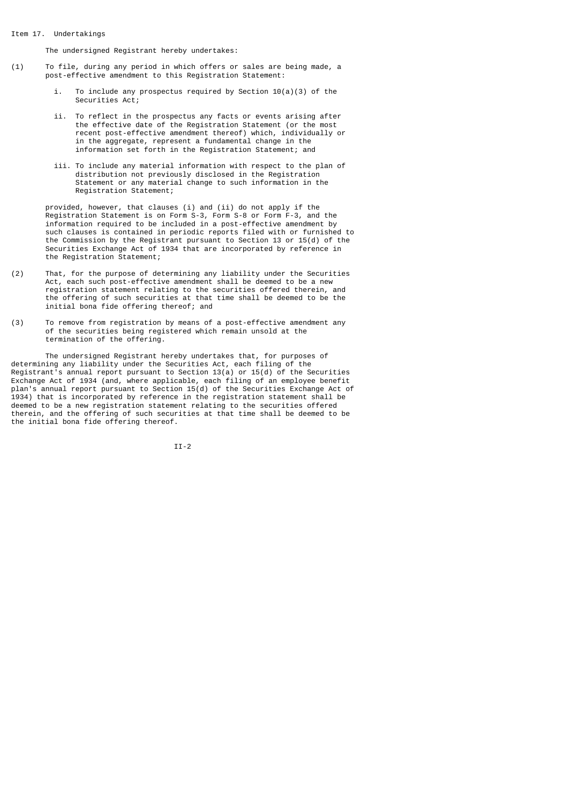### Item 17. Undertakings

The undersigned Registrant hereby undertakes:

- (1) To file, during any period in which offers or sales are being made, a post-effective amendment to this Registration Statement:
	- i. To include any prospectus required by Section 10(a)(3) of the Securities Act;
- ii. To reflect in the prospectus any facts or events arising after the effective date of the Registration Statement (or the most recent post-effective amendment thereof) which, individually or in the aggregate, represent a fundamental change in the information set forth in the Registration Statement; and
	- iii. To include any material information with respect to the plan of distribution not previously disclosed in the Registration Statement or any material change to such information in the Registration Statement;

 provided, however, that clauses (i) and (ii) do not apply if the Registration Statement is on Form S-3, Form S-8 or Form F-3, and the information required to be included in a post-effective amendment by such clauses is contained in periodic reports filed with or furnished to the Commission by the Registrant pursuant to Section 13 or 15(d) of the Securities Exchange Act of 1934 that are incorporated by reference in the Registration Statement;

- (2) That, for the purpose of determining any liability under the Securities Act, each such post-effective amendment shall be deemed to be a new registration statement relating to the securities offered therein, and the offering of such securities at that time shall be deemed to be the initial bona fide offering thereof; and
- (3) To remove from registration by means of a post-effective amendment any of the securities being registered which remain unsold at the termination of the offering.

 The undersigned Registrant hereby undertakes that, for purposes of determining any liability under the Securities Act, each filing of the Registrant<sup>'</sup>s annual report pursuant to Section  $13(a)$  or  $15(d)$  of the Securities Exchange Act of 1934 (and, where applicable, each filing of an employee benefit plan's annual report pursuant to Section 15(d) of the Securities Exchange Act of 1934) that is incorporated by reference in the registration statement shall be deemed to be a new registration statement relating to the securities offered therein, and the offering of such securities at that time shall be deemed to be the initial bona fide offering thereof.

II-2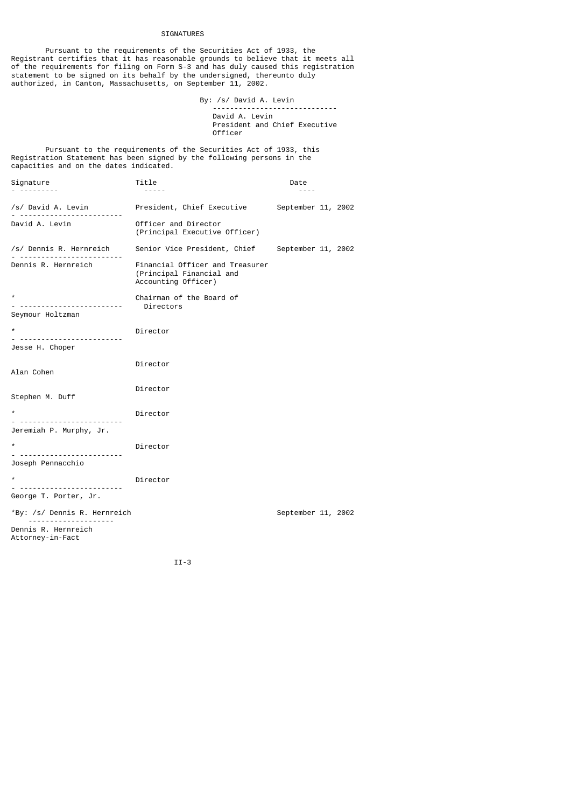# SIGNATURES

 Pursuant to the requirements of the Securities Act of 1933, the Registrant certifies that it has reasonable grounds to believe that it meets all of the requirements for filing on Form S-3 and has duly caused this registration statement to be signed on its behalf by the undersigned, thereunto duly authorized, in Canton, Massachusetts, on September 11, 2002.

By: /s/ David A. Levin<br>-------------------------------

 ----------------------------- David A. Levin President and Chief Executive Officer

 Pursuant to the requirements of the Securities Act of 1933, this Registration Statement has been signed by the following persons in the capacities and on the dates indicated.

| Signature                         | Title<br>$- - - - -$                                                               | Date               |  |
|-----------------------------------|------------------------------------------------------------------------------------|--------------------|--|
| /s/ David A. Levin                | President, Chief Executive September 11, 2002                                      |                    |  |
| David A. Levin                    | Officer and Director<br>(Principal Executive Officer)                              |                    |  |
| /s/ Dennis R. Hernreich           | Senior Vice President, Chief September 11, 2002                                    |                    |  |
| Dennis R. Hernreich               | Financial Officer and Treasurer<br>(Principal Financial and<br>Accounting Officer) |                    |  |
| $^\star$<br>.<br>Seymour Holtzman | Chairman of the Board of<br>Directors                                              |                    |  |
| $\star$                           | Director                                                                           |                    |  |
| <u>. </u><br>Jesse H. Choper      |                                                                                    |                    |  |
| Alan Cohen                        | Director                                                                           |                    |  |
| Stephen M. Duff                   | Director                                                                           |                    |  |
| $\star$                           | Director                                                                           |                    |  |
| Jeremiah P. Murphy, Jr.           |                                                                                    |                    |  |
| $^\star$                          | Director                                                                           |                    |  |
| <u>. </u><br>Joseph Pennacchio    |                                                                                    |                    |  |
| $\star$                           | Director                                                                           |                    |  |
| George T. Porter, Jr.             |                                                                                    |                    |  |
| *By: /s/ Dennis R. Hernreich      |                                                                                    | September 11, 2002 |  |
| Dennis R. Hernreich               |                                                                                    |                    |  |

II-3

Attorney-in-Fact